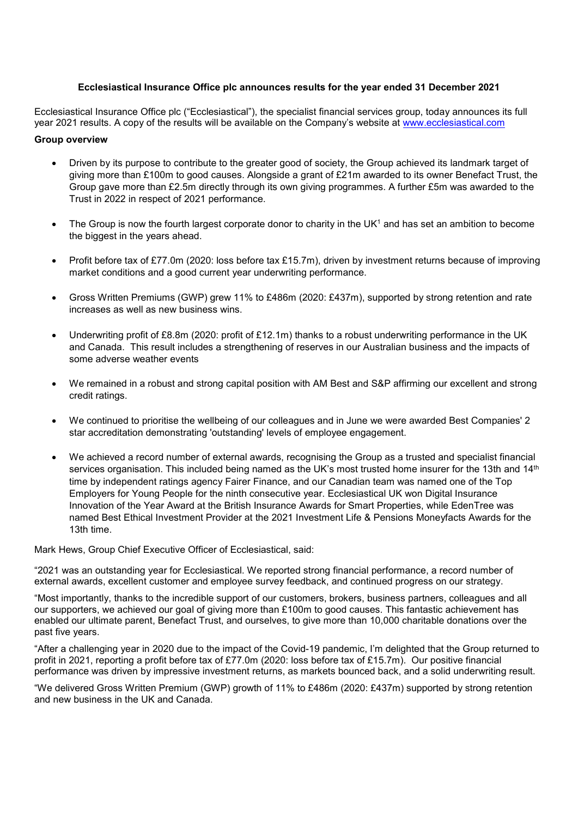## **Ecclesiastical Insurance Office plc announces results for the year ended 31 December 2021**

Ecclesiastical Insurance Office plc ("Ecclesiastical"), the specialist financial services group, today announces its full year 2021 results. A copy of the results will be available on the Company's website at [www.ecclesiastical.com](http://www.ecclesiastical.com/)

## **Group overview**

- Driven by its purpose to contribute to the greater good of society, the Group achieved its landmark target of giving more than £100m to good causes. Alongside a grant of £21m awarded to its owner Benefact Trust, the Group gave more than £2.5m directly through its own giving programmes. A further £5m was awarded to the Trust in 2022 in respect of 2021 performance.
- The Group is now the fourth largest corporate donor to charity in the UK1 and has set an ambition to become the biggest in the years ahead.
- Profit before tax of £77.0m (2020: loss before tax £15.7m), driven by investment returns because of improving market conditions and a good current year underwriting performance.
- Gross Written Premiums (GWP) grew 11% to £486m (2020: £437m), supported by strong retention and rate increases as well as new business wins.
- Underwriting profit of £8.8m (2020: profit of £12.1m) thanks to a robust underwriting performance in the UK and Canada. This result includes a strengthening of reserves in our Australian business and the impacts of some adverse weather events
- We remained in a robust and strong capital position with AM Best and S&P affirming our excellent and strong credit ratings.
- We continued to prioritise the wellbeing of our colleagues and in June we were awarded Best Companies' 2 star accreditation demonstrating 'outstanding' levels of employee engagement.
- We achieved a record number of external awards, recognising the Group as a trusted and specialist financial services organisation. This included being named as the UK's most trusted home insurer for the 13th and 14<sup>th</sup> time by independent ratings agency Fairer Finance, and our Canadian team was named one of the Top Employers for Young People for the ninth consecutive year. Ecclesiastical UK won Digital Insurance Innovation of the Year Award at the British Insurance Awards for Smart Properties, while EdenTree was named Best Ethical Investment Provider at the 2021 Investment Life & Pensions Moneyfacts Awards for the 13th time.

Mark Hews, Group Chief Executive Officer of Ecclesiastical, said:

"2021 was an outstanding year for Ecclesiastical. We reported strong financial performance, a record number of external awards, excellent customer and employee survey feedback, and continued progress on our strategy.

"Most importantly, thanks to the incredible support of our customers, brokers, business partners, colleagues and all our supporters, we achieved our goal of giving more than £100m to good causes. This fantastic achievement has enabled our ultimate parent, Benefact Trust, and ourselves, to give more than 10,000 charitable donations over the past five years.

"After a challenging year in 2020 due to the impact of the Covid-19 pandemic, I'm delighted that the Group returned to profit in 2021, reporting a profit before tax of £77.0m (2020: loss before tax of £15.7m). Our positive financial performance was driven by impressive investment returns, as markets bounced back, and a solid underwriting result.

"We delivered Gross Written Premium (GWP) growth of 11% to £486m (2020: £437m) supported by strong retention and new business in the UK and Canada.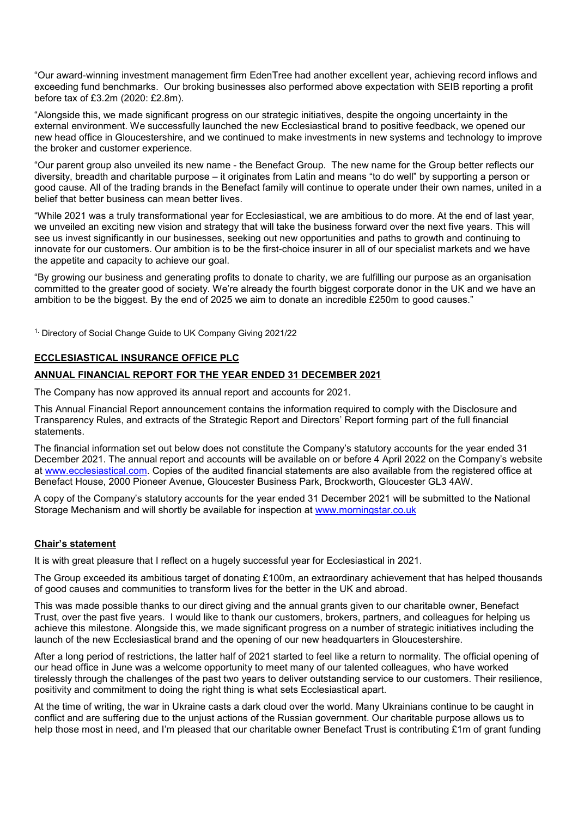"Our award-winning investment management firm EdenTree had another excellent year, achieving record inflows and exceeding fund benchmarks. Our broking businesses also performed above expectation with SEIB reporting a profit before tax of £3.2m (2020: £2.8m).

"Alongside this, we made significant progress on our strategic initiatives, despite the ongoing uncertainty in the external environment. We successfully launched the new Ecclesiastical brand to positive feedback, we opened our new head office in Gloucestershire, and we continued to make investments in new systems and technology to improve the broker and customer experience.

"Our parent group also unveiled its new name - the Benefact Group. The new name for the Group better reflects our diversity, breadth and charitable purpose – it originates from Latin and means "to do well" by supporting a person or good cause. All of the trading brands in the Benefact family will continue to operate under their own names, united in a belief that better business can mean better lives.

"While 2021 was a truly transformational year for Ecclesiastical, we are ambitious to do more. At the end of last year, we unveiled an exciting new vision and strategy that will take the business forward over the next five years. This will see us invest significantly in our businesses, seeking out new opportunities and paths to growth and continuing to innovate for our customers. Our ambition is to be the first-choice insurer in all of our specialist markets and we have the appetite and capacity to achieve our goal.

"By growing our business and generating profits to donate to charity, we are fulfilling our purpose as an organisation committed to the greater good of society. We're already the fourth biggest corporate donor in the UK and we have an ambition to be the biggest. By the end of 2025 we aim to donate an incredible £250m to good causes."

<sup>1.</sup> Directory of Social Change Guide to UK Company Giving 2021/22

## **ECCLESIASTICAL INSURANCE OFFICE PLC**

## **ANNUAL FINANCIAL REPORT FOR THE YEAR ENDED 31 DECEMBER 2021**

The Company has now approved its annual report and accounts for 2021.

This Annual Financial Report announcement contains the information required to comply with the Disclosure and Transparency Rules, and extracts of the Strategic Report and Directors' Report forming part of the full financial statements.

The financial information set out below does not constitute the Company's statutory accounts for the year ended 31 December 2021. The annual report and accounts will be available on or before 4 April 2022 on the Company's website at [www.ecclesiastical.com.](http://www.ecclesiastical.com/) Copies of the audited financial statements are also available from the registered office at Benefact House, 2000 Pioneer Avenue, Gloucester Business Park, Brockworth, Gloucester GL3 4AW.

A copy of the Company's statutory accounts for the year ended 31 December 2021 will be submitted to the National Storage Mechanism and will shortly be available for inspection at [www.morningstar.co.uk](http://www.morningstar.co.uk/)

## **Chair's statement**

It is with great pleasure that I reflect on a hugely successful year for Ecclesiastical in 2021.

The Group exceeded its ambitious target of donating £100m, an extraordinary achievement that has helped thousands of good causes and communities to transform lives for the better in the UK and abroad.

This was made possible thanks to our direct giving and the annual grants given to our charitable owner, Benefact Trust, over the past five years. I would like to thank our customers, brokers, partners, and colleagues for helping us achieve this milestone. Alongside this, we made significant progress on a number of strategic initiatives including the launch of the new Ecclesiastical brand and the opening of our new headquarters in Gloucestershire.

After a long period of restrictions, the latter half of 2021 started to feel like a return to normality. The official opening of our head office in June was a welcome opportunity to meet many of our talented colleagues, who have worked tirelessly through the challenges of the past two years to deliver outstanding service to our customers. Their resilience, positivity and commitment to doing the right thing is what sets Ecclesiastical apart.

At the time of writing, the war in Ukraine casts a dark cloud over the world. Many Ukrainians continue to be caught in conflict and are suffering due to the unjust actions of the Russian government. Our charitable purpose allows us to help those most in need, and I'm pleased that our charitable owner Benefact Trust is contributing £1m of grant funding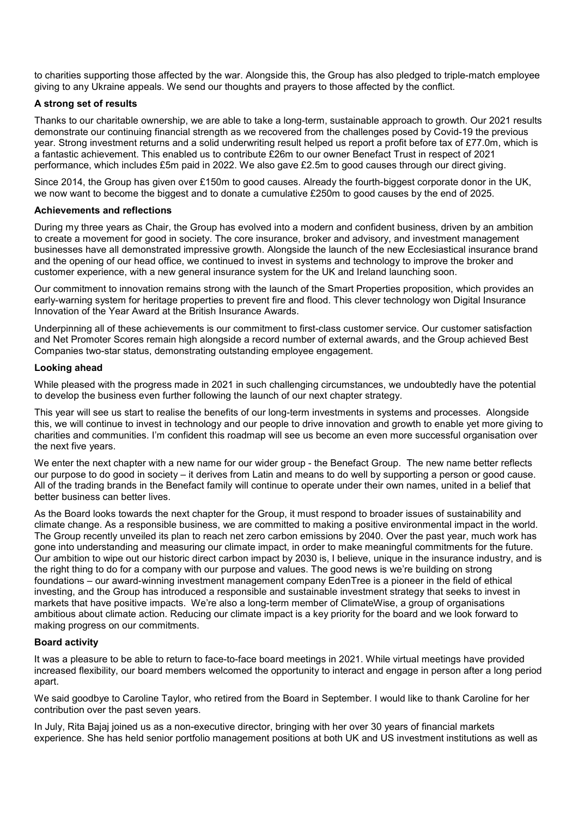to charities supporting those affected by the war. Alongside this, the Group has also pledged to triple-match employee giving to any Ukraine appeals. We send our thoughts and prayers to those affected by the conflict.

## **A strong set of results**

Thanks to our charitable ownership, we are able to take a long-term, sustainable approach to growth. Our 2021 results demonstrate our continuing financial strength as we recovered from the challenges posed by Covid-19 the previous year. Strong investment returns and a solid underwriting result helped us report a profit before tax of £77.0m, which is a fantastic achievement. This enabled us to contribute £26m to our owner Benefact Trust in respect of 2021 performance, which includes £5m paid in 2022. We also gave £2.5m to good causes through our direct giving.

Since 2014, the Group has given over £150m to good causes. Already the fourth-biggest corporate donor in the UK, we now want to become the biggest and to donate a cumulative £250m to good causes by the end of 2025.

### **Achievements and reflections**

During my three years as Chair, the Group has evolved into a modern and confident business, driven by an ambition to create a movement for good in society. The core insurance, broker and advisory, and investment management businesses have all demonstrated impressive growth. Alongside the launch of the new Ecclesiastical insurance brand and the opening of our head office, we continued to invest in systems and technology to improve the broker and customer experience, with a new general insurance system for the UK and Ireland launching soon.

Our commitment to innovation remains strong with the launch of the Smart Properties proposition, which provides an early-warning system for heritage properties to prevent fire and flood. This clever technology won Digital Insurance Innovation of the Year Award at the British Insurance Awards.

Underpinning all of these achievements is our commitment to first-class customer service. Our customer satisfaction and Net Promoter Scores remain high alongside a record number of external awards, and the Group achieved Best Companies two-star status, demonstrating outstanding employee engagement.

### **Looking ahead**

While pleased with the progress made in 2021 in such challenging circumstances, we undoubtedly have the potential to develop the business even further following the launch of our next chapter strategy.

This year will see us start to realise the benefits of our long-term investments in systems and processes. Alongside this, we will continue to invest in technology and our people to drive innovation and growth to enable yet more giving to charities and communities. I'm confident this roadmap will see us become an even more successful organisation over the next five years.

We enter the next chapter with a new name for our wider group - the Benefact Group. The new name better reflects our purpose to do good in society – it derives from Latin and means to do well by supporting a person or good cause. All of the trading brands in the Benefact family will continue to operate under their own names, united in a belief that better business can better lives.

As the Board looks towards the next chapter for the Group, it must respond to broader issues of sustainability and climate change. As a responsible business, we are committed to making a positive environmental impact in the world. The Group recently unveiled its plan to reach net zero carbon emissions by 2040. Over the past year, much work has gone into understanding and measuring our climate impact, in order to make meaningful commitments for the future. Our ambition to wipe out our historic direct carbon impact by 2030 is, I believe, unique in the insurance industry, and is the right thing to do for a company with our purpose and values. The good news is we're building on strong foundations – our award-winning investment management company EdenTree is a pioneer in the field of ethical investing, and the Group has introduced a responsible and sustainable investment strategy that seeks to invest in markets that have positive impacts. We're also a long-term member of ClimateWise, a group of organisations ambitious about climate action. Reducing our climate impact is a key priority for the board and we look forward to making progress on our commitments.

### **Board activity**

It was a pleasure to be able to return to face-to-face board meetings in 2021. While virtual meetings have provided increased flexibility, our board members welcomed the opportunity to interact and engage in person after a long period apart.

We said goodbye to Caroline Taylor, who retired from the Board in September. I would like to thank Caroline for her contribution over the past seven years.

In July, Rita Bajaj joined us as a non-executive director, bringing with her over 30 years of financial markets experience. She has held senior portfolio management positions at both UK and US investment institutions as well as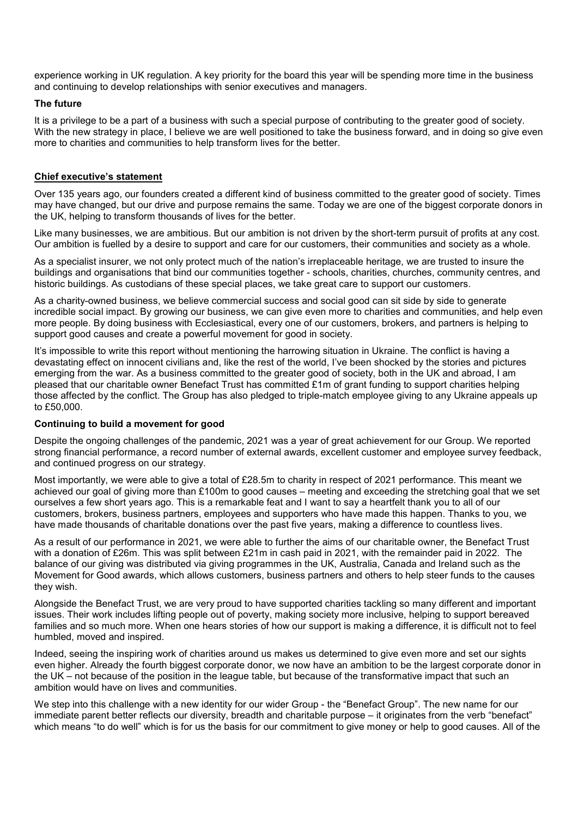experience working in UK regulation. A key priority for the board this year will be spending more time in the business and continuing to develop relationships with senior executives and managers.

## **The future**

It is a privilege to be a part of a business with such a special purpose of contributing to the greater good of society. With the new strategy in place, I believe we are well positioned to take the business forward, and in doing so give even more to charities and communities to help transform lives for the better.

## **Chief executive's statement**

Over 135 years ago, our founders created a different kind of business committed to the greater good of society. Times may have changed, but our drive and purpose remains the same. Today we are one of the biggest corporate donors in the UK, helping to transform thousands of lives for the better.

Like many businesses, we are ambitious. But our ambition is not driven by the short-term pursuit of profits at any cost. Our ambition is fuelled by a desire to support and care for our customers, their communities and society as a whole.

As a specialist insurer, we not only protect much of the nation's irreplaceable heritage, we are trusted to insure the buildings and organisations that bind our communities together - schools, charities, churches, community centres, and historic buildings. As custodians of these special places, we take great care to support our customers.

As a charity-owned business, we believe commercial success and social good can sit side by side to generate incredible social impact. By growing our business, we can give even more to charities and communities, and help even more people. By doing business with Ecclesiastical, every one of our customers, brokers, and partners is helping to support good causes and create a powerful movement for good in society.

It's impossible to write this report without mentioning the harrowing situation in Ukraine. The conflict is having a devastating effect on innocent civilians and, like the rest of the world, I've been shocked by the stories and pictures emerging from the war. As a business committed to the greater good of society, both in the UK and abroad, I am pleased that our charitable owner Benefact Trust has committed £1m of grant funding to support charities helping those affected by the conflict. The Group has also pledged to triple-match employee giving to any Ukraine appeals up to £50,000.

### **Continuing to build a movement for good**

Despite the ongoing challenges of the pandemic, 2021 was a year of great achievement for our Group. We reported strong financial performance, a record number of external awards, excellent customer and employee survey feedback, and continued progress on our strategy.

Most importantly, we were able to give a total of £28.5m to charity in respect of 2021 performance. This meant we achieved our goal of giving more than £100m to good causes – meeting and exceeding the stretching goal that we set ourselves a few short years ago. This is a remarkable feat and I want to say a heartfelt thank you to all of our customers, brokers, business partners, employees and supporters who have made this happen. Thanks to you, we have made thousands of charitable donations over the past five years, making a difference to countless lives.

As a result of our performance in 2021, we were able to further the aims of our charitable owner, the Benefact Trust with a donation of £26m. This was split between £21m in cash paid in 2021, with the remainder paid in 2022. The balance of our giving was distributed via giving programmes in the UK, Australia, Canada and Ireland such as the Movement for Good awards, which allows customers, business partners and others to help steer funds to the causes they wish.

Alongside the Benefact Trust, we are very proud to have supported charities tackling so many different and important issues. Their work includes lifting people out of poverty, making society more inclusive, helping to support bereaved families and so much more. When one hears stories of how our support is making a difference, it is difficult not to feel humbled, moved and inspired.

Indeed, seeing the inspiring work of charities around us makes us determined to give even more and set our sights even higher. Already the fourth biggest corporate donor, we now have an ambition to be the largest corporate donor in the UK – not because of the position in the league table, but because of the transformative impact that such an ambition would have on lives and communities.

We step into this challenge with a new identity for our wider Group - the "Benefact Group". The new name for our immediate parent better reflects our diversity, breadth and charitable purpose – it originates from the verb "benefact" which means "to do well" which is for us the basis for our commitment to give money or help to good causes. All of the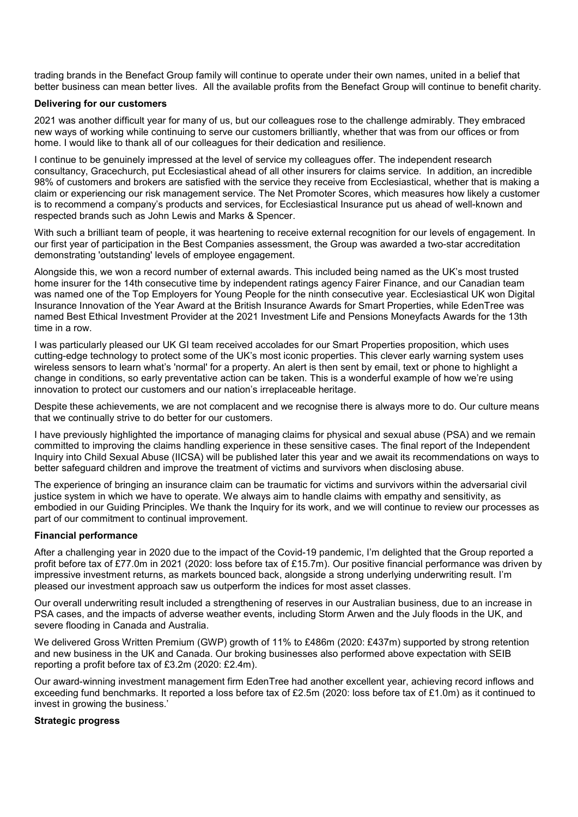trading brands in the Benefact Group family will continue to operate under their own names, united in a belief that better business can mean better lives. All the available profits from the Benefact Group will continue to benefit charity.

## **Delivering for our customers**

2021 was another difficult year for many of us, but our colleagues rose to the challenge admirably. They embraced new ways of working while continuing to serve our customers brilliantly, whether that was from our offices or from home. I would like to thank all of our colleagues for their dedication and resilience.

I continue to be genuinely impressed at the level of service my colleagues offer. The independent research consultancy, Gracechurch, put Ecclesiastical ahead of all other insurers for claims service. In addition, an incredible 98% of customers and brokers are satisfied with the service they receive from Ecclesiastical, whether that is making a claim or experiencing our risk management service. The Net Promoter Scores, which measures how likely a customer is to recommend a company's products and services, for Ecclesiastical Insurance put us ahead of well-known and respected brands such as John Lewis and Marks & Spencer.

With such a brilliant team of people, it was heartening to receive external recognition for our levels of engagement. In our first year of participation in the Best Companies assessment, the Group was awarded a two-star accreditation demonstrating 'outstanding' levels of employee engagement.

Alongside this, we won a record number of external awards. This included being named as the UK's most trusted home insurer for the 14th consecutive time by independent ratings agency Fairer Finance, and our Canadian team was named one of the Top Employers for Young People for the ninth consecutive year. Ecclesiastical UK won Digital Insurance Innovation of the Year Award at the British Insurance Awards for Smart Properties, while EdenTree was named Best Ethical Investment Provider at the 2021 Investment Life and Pensions Moneyfacts Awards for the 13th time in a row.

I was particularly pleased our UK GI team received accolades for our Smart Properties proposition, which uses cutting-edge technology to protect some of the UK's most iconic properties. This clever early warning system uses wireless sensors to learn what's 'normal' for a property. An alert is then sent by email, text or phone to highlight a change in conditions, so early preventative action can be taken. This is a wonderful example of how we're using innovation to protect our customers and our nation's irreplaceable heritage.

Despite these achievements, we are not complacent and we recognise there is always more to do. Our culture means that we continually strive to do better for our customers.

I have previously highlighted the importance of managing claims for physical and sexual abuse (PSA) and we remain committed to improving the claims handling experience in these sensitive cases. The final report of the Independent Inquiry into Child Sexual Abuse (IICSA) will be published later this year and we await its recommendations on ways to better safeguard children and improve the treatment of victims and survivors when disclosing abuse.

The experience of bringing an insurance claim can be traumatic for victims and survivors within the adversarial civil justice system in which we have to operate. We always aim to handle claims with empathy and sensitivity, as embodied in our Guiding Principles. We thank the Inquiry for its work, and we will continue to review our processes as part of our commitment to continual improvement.

## **Financial performance**

After a challenging year in 2020 due to the impact of the Covid-19 pandemic, I'm delighted that the Group reported a profit before tax of £77.0m in 2021 (2020: loss before tax of £15.7m). Our positive financial performance was driven by impressive investment returns, as markets bounced back, alongside a strong underlying underwriting result. I'm pleased our investment approach saw us outperform the indices for most asset classes.

Our overall underwriting result included a strengthening of reserves in our Australian business, due to an increase in PSA cases, and the impacts of adverse weather events, including Storm Arwen and the July floods in the UK, and severe flooding in Canada and Australia.

We delivered Gross Written Premium (GWP) growth of 11% to £486m (2020: £437m) supported by strong retention and new business in the UK and Canada. Our broking businesses also performed above expectation with SEIB reporting a profit before tax of £3.2m (2020: £2.4m).

Our award-winning investment management firm EdenTree had another excellent year, achieving record inflows and exceeding fund benchmarks. It reported a loss before tax of £2.5m (2020: loss before tax of £1.0m) as it continued to invest in growing the business.'

### **Strategic progress**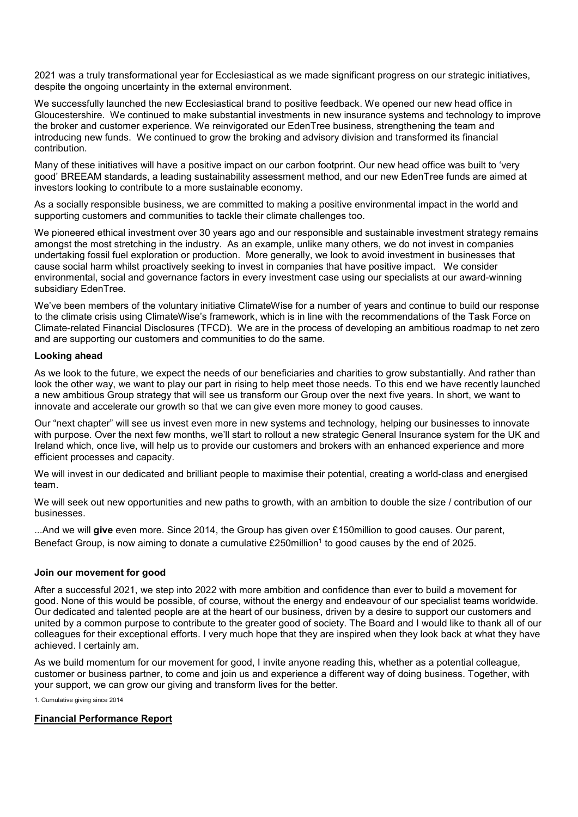2021 was a truly transformational year for Ecclesiastical as we made significant progress on our strategic initiatives, despite the ongoing uncertainty in the external environment.

We successfully launched the new Ecclesiastical brand to positive feedback. We opened our new head office in Gloucestershire. We continued to make substantial investments in new insurance systems and technology to improve the broker and customer experience. We reinvigorated our EdenTree business, strengthening the team and introducing new funds. We continued to grow the broking and advisory division and transformed its financial contribution.

Many of these initiatives will have a positive impact on our carbon footprint. Our new head office was built to 'very good' BREEAM standards, a leading sustainability assessment method, and our new EdenTree funds are aimed at investors looking to contribute to a more sustainable economy.

As a socially responsible business, we are committed to making a positive environmental impact in the world and supporting customers and communities to tackle their climate challenges too.

We pioneered ethical investment over 30 years ago and our responsible and sustainable investment strategy remains amongst the most stretching in the industry. As an example, unlike many others, we do not invest in companies undertaking fossil fuel exploration or production. More generally, we look to avoid investment in businesses that cause social harm whilst proactively seeking to invest in companies that have positive impact. We consider environmental, social and governance factors in every investment case using our specialists at our award-winning subsidiary EdenTree.

We've been members of the voluntary initiative ClimateWise for a number of years and continue to build our response to the climate crisis using ClimateWise's framework, which is in line with the recommendations of the Task Force on Climate-related Financial Disclosures (TFCD). We are in the process of developing an ambitious roadmap to net zero and are supporting our customers and communities to do the same.

## **Looking ahead**

As we look to the future, we expect the needs of our beneficiaries and charities to grow substantially. And rather than look the other way, we want to play our part in rising to help meet those needs. To this end we have recently launched a new ambitious Group strategy that will see us transform our Group over the next five years. In short, we want to innovate and accelerate our growth so that we can give even more money to good causes.

Our "next chapter" will see us invest even more in new systems and technology, helping our businesses to innovate with purpose. Over the next few months, we'll start to rollout a new strategic General Insurance system for the UK and Ireland which, once live, will help us to provide our customers and brokers with an enhanced experience and more efficient processes and capacity.

We will invest in our dedicated and brilliant people to maximise their potential, creating a world-class and energised team.

We will seek out new opportunities and new paths to growth, with an ambition to double the size / contribution of our businesses.

...And we will **give** even more. Since 2014, the Group has given over £150million to good causes. Our parent, Benefact Group, is now aiming to donate a cumulative £250million<sup>1</sup> to good causes by the end of 2025.

### **Join our movement for good**

After a successful 2021, we step into 2022 with more ambition and confidence than ever to build a movement for good. None of this would be possible, of course, without the energy and endeavour of our specialist teams worldwide. Our dedicated and talented people are at the heart of our business, driven by a desire to support our customers and united by a common purpose to contribute to the greater good of society. The Board and I would like to thank all of our colleagues for their exceptional efforts. I very much hope that they are inspired when they look back at what they have achieved. I certainly am.

As we build momentum for our movement for good, I invite anyone reading this, whether as a potential colleague, customer or business partner, to come and join us and experience a different way of doing business. Together, with your support, we can grow our giving and transform lives for the better.

1. Cumulative giving since 2014

## **Financial Performance Report**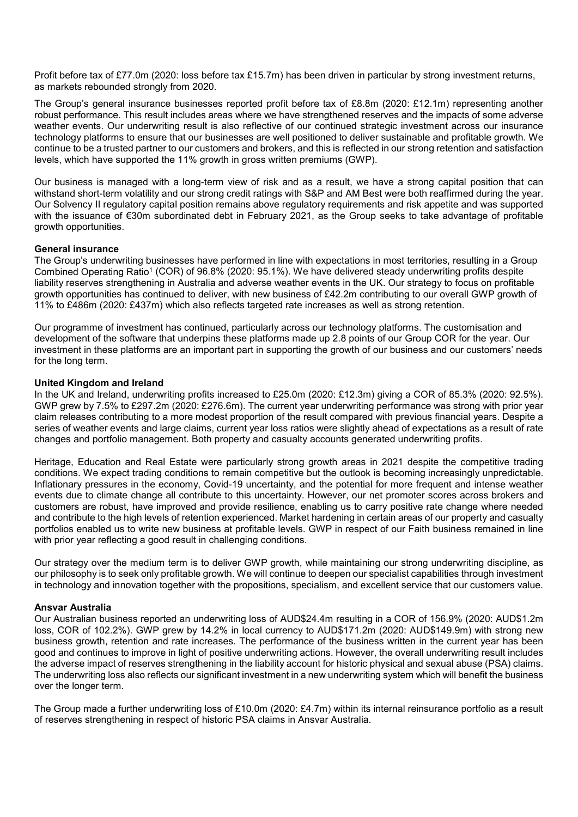Profit before tax of £77.0m (2020: loss before tax £15.7m) has been driven in particular by strong investment returns, as markets rebounded strongly from 2020.

The Group's general insurance businesses reported profit before tax of £8.8m (2020: £12.1m) representing another robust performance. This result includes areas where we have strengthened reserves and the impacts of some adverse weather events. Our underwriting result is also reflective of our continued strategic investment across our insurance technology platforms to ensure that our businesses are well positioned to deliver sustainable and profitable growth. We continue to be a trusted partner to our customers and brokers, and this is reflected in our strong retention and satisfaction levels, which have supported the 11% growth in gross written premiums (GWP).

Our business is managed with a long-term view of risk and as a result, we have a strong capital position that can withstand short-term volatility and our strong credit ratings with S&P and AM Best were both reaffirmed during the year. Our Solvency II regulatory capital position remains above regulatory requirements and risk appetite and was supported with the issuance of €30m subordinated debt in February 2021, as the Group seeks to take advantage of profitable growth opportunities.

## **General insurance**

The Group's underwriting businesses have performed in line with expectations in most territories, resulting in a Group Combined Operating Ratio<sup>1</sup> (COR) of 96.8% (2020: 95.1%). We have delivered steady underwriting profits despite liability reserves strengthening in Australia and adverse weather events in the UK. Our strategy to focus on profitable growth opportunities has continued to deliver, with new business of £42.2m contributing to our overall GWP growth of 11% to £486m (2020: £437m) which also reflects targeted rate increases as well as strong retention.

Our programme of investment has continued, particularly across our technology platforms. The customisation and development of the software that underpins these platforms made up 2.8 points of our Group COR for the year. Our investment in these platforms are an important part in supporting the growth of our business and our customers' needs for the long term.

## **United Kingdom and Ireland**

In the UK and Ireland, underwriting profits increased to £25.0m (2020: £12.3m) giving a COR of 85.3% (2020: 92.5%). GWP grew by 7.5% to £297.2m (2020: £276.6m). The current year underwriting performance was strong with prior year claim releases contributing to a more modest proportion of the result compared with previous financial years. Despite a series of weather events and large claims, current year loss ratios were slightly ahead of expectations as a result of rate changes and portfolio management. Both property and casualty accounts generated underwriting profits.

Heritage, Education and Real Estate were particularly strong growth areas in 2021 despite the competitive trading conditions. We expect trading conditions to remain competitive but the outlook is becoming increasingly unpredictable. Inflationary pressures in the economy, Covid-19 uncertainty, and the potential for more frequent and intense weather events due to climate change all contribute to this uncertainty. However, our net promoter scores across brokers and customers are robust, have improved and provide resilience, enabling us to carry positive rate change where needed and contribute to the high levels of retention experienced. Market hardening in certain areas of our property and casualty portfolios enabled us to write new business at profitable levels. GWP in respect of our Faith business remained in line with prior year reflecting a good result in challenging conditions.

Our strategy over the medium term is to deliver GWP growth, while maintaining our strong underwriting discipline, as our philosophy is to seek only profitable growth. We will continue to deepen our specialist capabilities through investment in technology and innovation together with the propositions, specialism, and excellent service that our customers value.

### **Ansvar Australia**

Our Australian business reported an underwriting loss of AUD\$24.4m resulting in a COR of 156.9% (2020: AUD\$1.2m loss, COR of 102.2%). GWP grew by 14.2% in local currency to AUD\$171.2m (2020: AUD\$149.9m) with strong new business growth, retention and rate increases. The performance of the business written in the current year has been good and continues to improve in light of positive underwriting actions. However, the overall underwriting result includes the adverse impact of reserves strengthening in the liability account for historic physical and sexual abuse (PSA) claims. The underwriting loss also reflects our significant investment in a new underwriting system which will benefit the business over the longer term.

The Group made a further underwriting loss of £10.0m (2020: £4.7m) within its internal reinsurance portfolio as a result of reserves strengthening in respect of historic PSA claims in Ansvar Australia.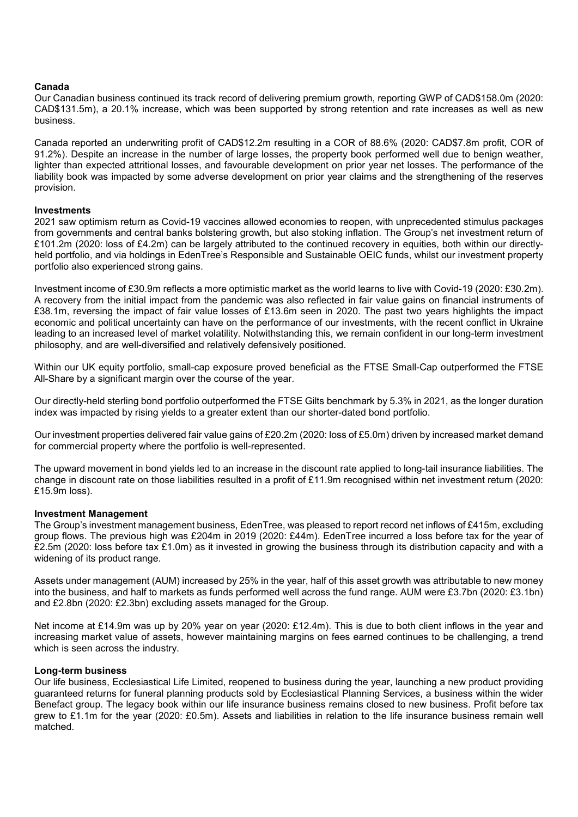## **Canada**

Our Canadian business continued its track record of delivering premium growth, reporting GWP of CAD\$158.0m (2020: CAD\$131.5m), a 20.1% increase, which was been supported by strong retention and rate increases as well as new business.

Canada reported an underwriting profit of CAD\$12.2m resulting in a COR of 88.6% (2020: CAD\$7.8m profit, COR of 91.2%). Despite an increase in the number of large losses, the property book performed well due to benign weather, lighter than expected attritional losses, and favourable development on prior year net losses. The performance of the liability book was impacted by some adverse development on prior year claims and the strengthening of the reserves provision.

### **Investments**

2021 saw optimism return as Covid-19 vaccines allowed economies to reopen, with unprecedented stimulus packages from governments and central banks bolstering growth, but also stoking inflation. The Group's net investment return of £101.2m (2020: loss of £4.2m) can be largely attributed to the continued recovery in equities, both within our directlyheld portfolio, and via holdings in EdenTree's Responsible and Sustainable OEIC funds, whilst our investment property portfolio also experienced strong gains.

Investment income of £30.9m reflects a more optimistic market as the world learns to live with Covid-19 (2020: £30.2m). A recovery from the initial impact from the pandemic was also reflected in fair value gains on financial instruments of £38.1m, reversing the impact of fair value losses of £13.6m seen in 2020. The past two years highlights the impact economic and political uncertainty can have on the performance of our investments, with the recent conflict in Ukraine leading to an increased level of market volatility. Notwithstanding this, we remain confident in our long-term investment philosophy, and are well-diversified and relatively defensively positioned.

Within our UK equity portfolio, small-cap exposure proved beneficial as the FTSE Small-Cap outperformed the FTSE All-Share by a significant margin over the course of the year.

Our directly-held sterling bond portfolio outperformed the FTSE Gilts benchmark by 5.3% in 2021, as the longer duration index was impacted by rising yields to a greater extent than our shorter-dated bond portfolio.

Our investment properties delivered fair value gains of £20.2m (2020: loss of £5.0m) driven by increased market demand for commercial property where the portfolio is well-represented.

The upward movement in bond yields led to an increase in the discount rate applied to long-tail insurance liabilities. The change in discount rate on those liabilities resulted in a profit of £11.9m recognised within net investment return (2020: £15.9m loss).

### **Investment Management**

The Group's investment management business, EdenTree, was pleased to report record net inflows of £415m, excluding group flows. The previous high was £204m in 2019 (2020: £44m). EdenTree incurred a loss before tax for the year of £2.5m (2020: loss before tax £1.0m) as it invested in growing the business through its distribution capacity and with a widening of its product range.

Assets under management (AUM) increased by 25% in the year, half of this asset growth was attributable to new money into the business, and half to markets as funds performed well across the fund range. AUM were £3.7bn (2020: £3.1bn) and £2.8bn (2020: £2.3bn) excluding assets managed for the Group.

Net income at £14.9m was up by 20% year on year (2020: £12.4m). This is due to both client inflows in the year and increasing market value of assets, however maintaining margins on fees earned continues to be challenging, a trend which is seen across the industry.

### **Long-term business**

Our life business, Ecclesiastical Life Limited, reopened to business during the year, launching a new product providing guaranteed returns for funeral planning products sold by Ecclesiastical Planning Services, a business within the wider Benefact group. The legacy book within our life insurance business remains closed to new business. Profit before tax grew to £1.1m for the year (2020: £0.5m). Assets and liabilities in relation to the life insurance business remain well matched.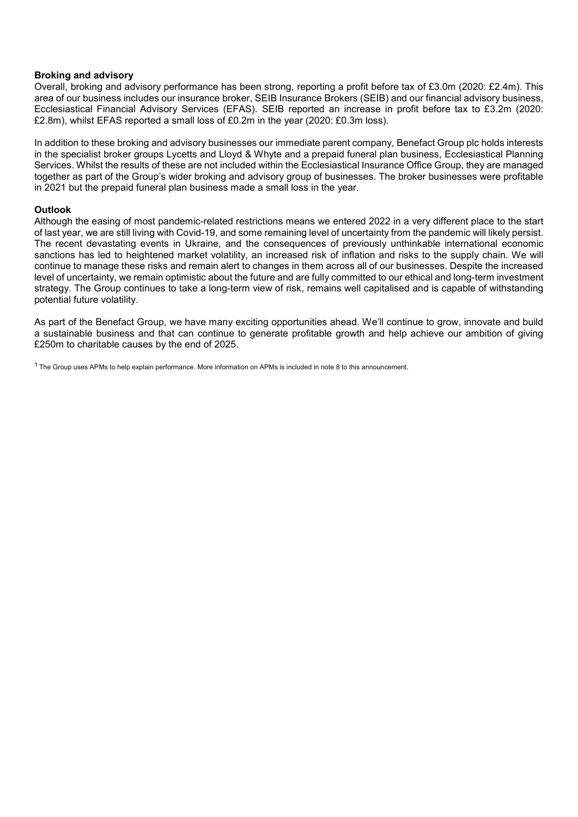### **Broking and advisory**

Overall, broking and advisory performance has been strong, reporting a profit before tax of £3.0m (2020: £2.4m). This area of our business includes our insurance broker, SEIB Insurance Brokers (SEIB) and our financial advisory business, Ecclesiastical Financial Advisory Services (EFAS). SEIB reported an increase in profit before tax to £3.2m (2020: £2.8m), whilst EFAS reported a small loss of £0.2m in the year (2020: £0.3m loss).

In addition to these broking and advisory businesses our immediate parent company, Benefact Group plc holds interests in the specialist broker groups Lycetts and Lloyd & Whyte and a prepaid funeral plan business, Ecclesiastical Planning Services. Whilst the results of these are not included within the Ecclesiastical Insurance Office Group, they are managed together as part of the Group's wider broking and advisory group of businesses. The broker businesses were profitable in 2021 but the prepaid funeral plan business made a small loss in the year.

### **Outlook**

Although the easing of most pandemic-related restrictions means we entered 2022 in a very different place to the start of last year, we are still living with Covid-19, and some remaining level of uncertainty from the pandemic will likely persist. The recent devastating events in Ukraine, and the consequences of previously unthinkable international economic sanctions has led to heightened market volatility, an increased risk of inflation and risks to the supply chain. We will continue to manage these risks and remain alert to changes in them across all of our businesses. Despite the increased level of uncertainty, we remain optimistic about the future and are fully committed to our ethical and long-term investment strategy. The Group continues to take a long-term view of risk, remains well capitalised and is capable of withstanding potential future volatility.

As part of the Benefact Group, we have many exciting opportunities ahead. We'll continue to grow, innovate and build a sustainable business and that can continue to generate profitable growth and help achieve our ambition of giving £250m to charitable causes by the end of 2025.

 $1$  The Group uses APMs to help explain performance. More information on APMs is included in note 8 to this announcement.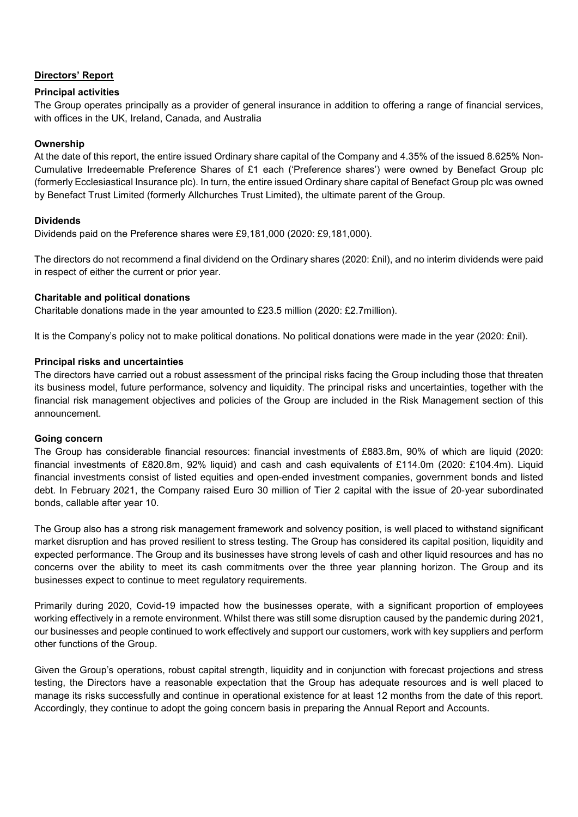## **Directors' Report**

## **Principal activities**

The Group operates principally as a provider of general insurance in addition to offering a range of financial services, with offices in the UK, Ireland, Canada, and Australia

## **Ownership**

At the date of this report, the entire issued Ordinary share capital of the Company and 4.35% of the issued 8.625% Non-Cumulative Irredeemable Preference Shares of £1 each ('Preference shares') were owned by Benefact Group plc (formerly Ecclesiastical Insurance plc). In turn, the entire issued Ordinary share capital of Benefact Group plc was owned by Benefact Trust Limited (formerly Allchurches Trust Limited), the ultimate parent of the Group.

## **Dividends**

Dividends paid on the Preference shares were £9,181,000 (2020: £9,181,000).

The directors do not recommend a final dividend on the Ordinary shares (2020: £nil), and no interim dividends were paid in respect of either the current or prior year.

## **Charitable and political donations**

Charitable donations made in the year amounted to £23.5 million (2020: £2.7million).

It is the Company's policy not to make political donations. No political donations were made in the year (2020: £nil).

## **Principal risks and uncertainties**

The directors have carried out a robust assessment of the principal risks facing the Group including those that threaten its business model, future performance, solvency and liquidity. The principal risks and uncertainties, together with the financial risk management objectives and policies of the Group are included in the Risk Management section of this announcement.

### **Going concern**

The Group has considerable financial resources: financial investments of £883.8m, 90% of which are liquid (2020: financial investments of £820.8m, 92% liquid) and cash and cash equivalents of £114.0m (2020: £104.4m). Liquid financial investments consist of listed equities and open-ended investment companies, government bonds and listed debt. In February 2021, the Company raised Euro 30 million of Tier 2 capital with the issue of 20-year subordinated bonds, callable after year 10.

The Group also has a strong risk management framework and solvency position, is well placed to withstand significant market disruption and has proved resilient to stress testing. The Group has considered its capital position, liquidity and expected performance. The Group and its businesses have strong levels of cash and other liquid resources and has no concerns over the ability to meet its cash commitments over the three year planning horizon. The Group and its businesses expect to continue to meet regulatory requirements.

Primarily during 2020, Covid-19 impacted how the businesses operate, with a significant proportion of employees working effectively in a remote environment. Whilst there was still some disruption caused by the pandemic during 2021, our businesses and people continued to work effectively and support our customers, work with key suppliers and perform other functions of the Group.

Given the Group's operations, robust capital strength, liquidity and in conjunction with forecast projections and stress testing, the Directors have a reasonable expectation that the Group has adequate resources and is well placed to manage its risks successfully and continue in operational existence for at least 12 months from the date of this report. Accordingly, they continue to adopt the going concern basis in preparing the Annual Report and Accounts.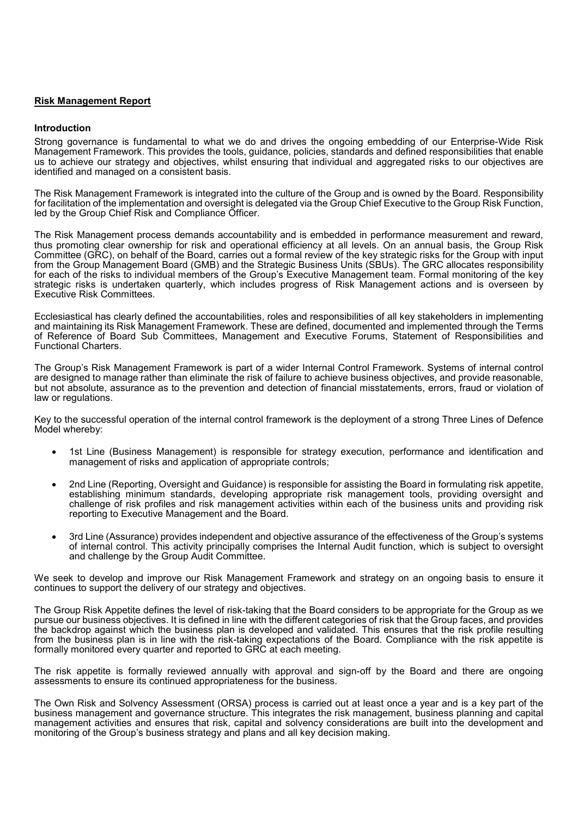#### **Risk Management Report**

#### **Introduction**

Strong governance is fundamental to what we do and drives the ongoing embedding of our Enterprise-Wide Risk Management Framework. This provides the tools, guidance, policies, standards and defined responsibilities that enable us to achieve our strategy and objectives, whilst ensuring that individual and aggregated risks to our objectives are identified and managed on a consistent basis.

The Risk Management Framework is integrated into the culture of the Group and is owned by the Board. Responsibility for facilitation of the implementation and oversight is delegated via the Group Chief Executive to the Group Risk Function, led by the Group Chief Risk and Compliance Officer.

The Risk Management process demands accountability and is embedded in performance measurement and reward, thus promoting clear ownership for risk and operational efficiency at all levels. On an annual basis, the Group Risk Committee (GRC), on behalf of the Board, carries out a formal review of the key strategic risks for the Group with input from the Group Management Board (GMB) and the Strategic Business Units (SBUs). The GRC allocates responsibility for each of the risks to individual members of the Group's Executive Management team. Formal monitoring of the key strategic risks is undertaken quarterly, which includes progress of Risk Management actions and is overseen by Executive Risk Committees.

Ecclesiastical has clearly defined the accountabilities, roles and responsibilities of all key stakeholders in implementing and maintaining its Risk Management Framework. These are defined, documented and implemented through the Terms of Reference of Board Sub Committees, Management and Executive Forums, Statement of Responsibilities and Functional Charters.

The Group's Risk Management Framework is part of a wider Internal Control Framework. Systems of internal control are designed to manage rather than eliminate the risk of failure to achieve business objectives, and provide reasonable, but not absolute, assurance as to the prevention and detection of financial misstatements, errors, fraud or violation of law or regulations.

Key to the successful operation of the internal control framework is the deployment of a strong Three Lines of Defence Model whereby:

- 1st Line (Business Management) is responsible for strategy execution, performance and identification and management of risks and application of appropriate controls;
- 2nd Line (Reporting, Oversight and Guidance) is responsible for assisting the Board in formulating risk appetite, establishing minimum standards, developing appropriate risk management tools, providing oversight and challenge of risk profiles and risk management activities within each of the business units and providing risk reporting to Executive Management and the Board.
- 3rd Line (Assurance) provides independent and objective assurance of the effectiveness of the Group's systems of internal control. This activity principally comprises the Internal Audit function, which is subject to oversight and challenge by the Group Audit Committee.

We seek to develop and improve our Risk Management Framework and strategy on an ongoing basis to ensure it continues to support the delivery of our strategy and objectives.

The Group Risk Appetite defines the level of risk-taking that the Board considers to be appropriate for the Group as we pursue our business objectives. It is defined in line with the different categories of risk that the Group faces, and provides the backdrop against which the business plan is developed and validated. This ensures that the risk profile resulting from the business plan is in line with the risk-taking expectations of the Board. Compliance with the risk appetite is formally monitored every quarter and reported to GRC at each meeting.

The risk appetite is formally reviewed annually with approval and sign-off by the Board and there are ongoing assessments to ensure its continued appropriateness for the business.

The Own Risk and Solvency Assessment (ORSA) process is carried out at least once a year and is a key part of the business management and governance structure. This integrates the risk management, business planning and capital management activities and ensures that risk, capital and solvency considerations are built into the development and monitoring of the Group's business strategy and plans and all key decision making.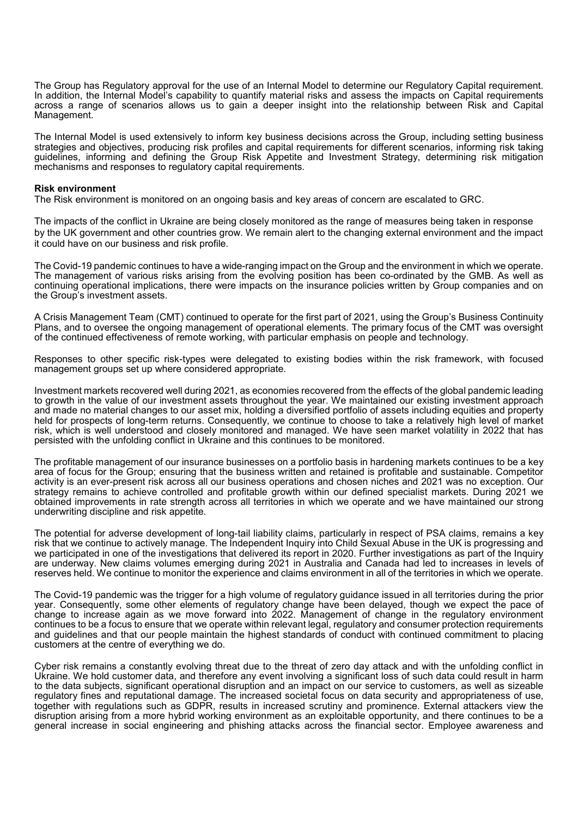The Group has Regulatory approval for the use of an Internal Model to determine our Regulatory Capital requirement. In addition, the Internal Model's capability to quantify material risks and assess the impacts on Capital requirements across a range of scenarios allows us to gain a deeper insight into the relationship between Risk and Capital Management.

The Internal Model is used extensively to inform key business decisions across the Group, including setting business strategies and objectives, producing risk profiles and capital requirements for different scenarios, informing risk taking guidelines, informing and defining the Group Risk Appetite and Investment Strategy, determining risk mitigation mechanisms and responses to regulatory capital requirements.

#### **Risk environment**

The Risk environment is monitored on an ongoing basis and key areas of concern are escalated to GRC.

The impacts of the conflict in Ukraine are being closely monitored as the range of measures being taken in response by the UK government and other countries grow. We remain alert to the changing external environment and the impact it could have on our business and risk profile.

The Covid-19 pandemic continues to have a wide-ranging impact on the Group and the environment in which we operate. The management of various risks arising from the evolving position has been co-ordinated by the GMB. As well as continuing operational implications, there were impacts on the insurance policies written by Group companies and on the Group's investment assets.

A Crisis Management Team (CMT) continued to operate for the first part of 2021, using the Group's Business Continuity Plans, and to oversee the ongoing management of operational elements. The primary focus of the CMT was oversight of the continued effectiveness of remote working, with particular emphasis on people and technology.

Responses to other specific risk-types were delegated to existing bodies within the risk framework, with focused management groups set up where considered appropriate.

Investment markets recovered well during 2021, as economies recovered from the effects of the global pandemic leading to growth in the value of our investment assets throughout the year. We maintained our existing investment approach and made no material changes to our asset mix, holding a diversified portfolio of assets including equities and property held for prospects of long-term returns. Consequently, we continue to choose to take a relatively high level of market risk, which is well understood and closely monitored and managed. We have seen market volatility in 2022 that has persisted with the unfolding conflict in Ukraine and this continues to be monitored.

The profitable management of our insurance businesses on a portfolio basis in hardening markets continues to be a key area of focus for the Group; ensuring that the business written and retained is profitable and sustainable. Competitor activity is an ever-present risk across all our business operations and chosen niches and 2021 was no exception. Our strategy remains to achieve controlled and profitable growth within our defined specialist markets. During 2021 we obtained improvements in rate strength across all territories in which we operate and we have maintained our strong underwriting discipline and risk appetite.

The potential for adverse development of long-tail liability claims, particularly in respect of PSA claims, remains a key risk that we continue to actively manage. The Independent Inquiry into Child Sexual Abuse in the UK is progressing and we participated in one of the investigations that delivered its report in 2020. Further investigations as part of the Inquiry are underway. New claims volumes emerging during 2021 in Australia and Canada had led to increases in levels of reserves held. We continue to monitor the experience and claims environment in all of the territories in which we operate.

The Covid-19 pandemic was the trigger for a high volume of regulatory guidance issued in all territories during the prior year. Consequently, some other elements of regulatory change have been delayed, though we expect the pace of change to increase again as we move forward into 2022. Management of change in the regulatory environment continues to be a focus to ensure that we operate within relevant legal, regulatory and consumer protection requirements and guidelines and that our people maintain the highest standards of conduct with continued commitment to placing customers at the centre of everything we do.

Cyber risk remains a constantly evolving threat due to the threat of zero day attack and with the unfolding conflict in Ukraine. We hold customer data, and therefore any event involving a significant loss of such data could result in harm to the data subjects, significant operational disruption and an impact on our service to customers, as well as sizeable regulatory fines and reputational damage. The increased societal focus on data security and appropriateness of use, together with regulations such as GDPR, results in increased scrutiny and prominence. External attackers view the disruption arising from a more hybrid working environment as an exploitable opportunity, and there continues to be a general increase in social engineering and phishing attacks across the financial sector. Employee awareness and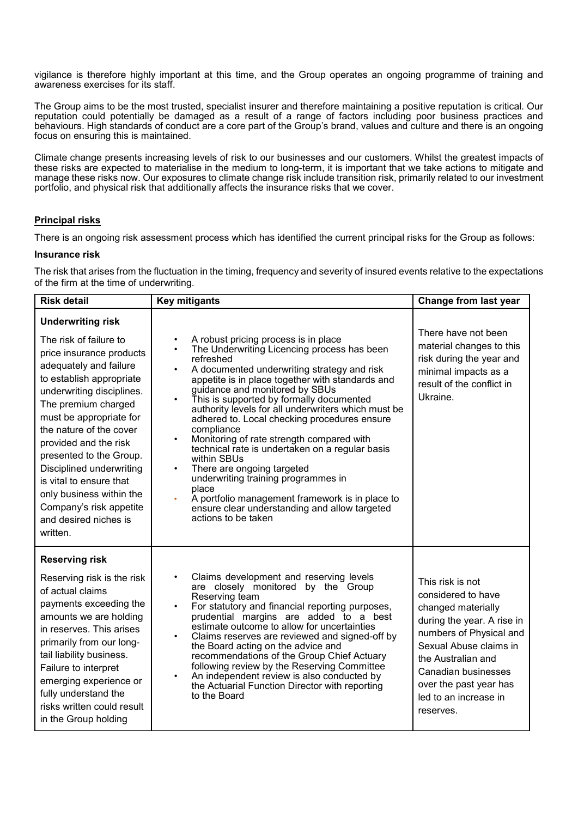vigilance is therefore highly important at this time, and the Group operates an ongoing programme of training and awareness exercises for its staff.

The Group aims to be the most trusted, specialist insurer and therefore maintaining a positive reputation is critical. Our reputation could potentially be damaged as a result of a range of factors including poor business practices and behaviours. High standards of conduct are a core part of the Group's brand, values and culture and there is an ongoing focus on ensuring this is maintained.

Climate change presents increasing levels of risk to our businesses and our customers. Whilst the greatest impacts of these risks are expected to materialise in the medium to long-term, it is important that we take actions to mitigate and manage these risks now. Our exposures to climate change risk include transition risk, primarily related to our investment portfolio, and physical risk that additionally affects the insurance risks that we cover.

## **Principal risks**

There is an ongoing risk assessment process which has identified the current principal risks for the Group as follows:

## **Insurance risk**

The risk that arises from the fluctuation in the timing, frequency and severity of insured events relative to the expectations of the firm at the time of underwriting.

| <b>Risk detail</b>                                                                                                                                                                                                                                                                                                                                                                                                                                    | <b>Key mitigants</b>                                                                                                                                                                                                                                                                                                                                                                                                                                                                                                                                                                                                                                                                                                                                                               | Change from last year                                                                                                                                                                                                                                        |
|-------------------------------------------------------------------------------------------------------------------------------------------------------------------------------------------------------------------------------------------------------------------------------------------------------------------------------------------------------------------------------------------------------------------------------------------------------|------------------------------------------------------------------------------------------------------------------------------------------------------------------------------------------------------------------------------------------------------------------------------------------------------------------------------------------------------------------------------------------------------------------------------------------------------------------------------------------------------------------------------------------------------------------------------------------------------------------------------------------------------------------------------------------------------------------------------------------------------------------------------------|--------------------------------------------------------------------------------------------------------------------------------------------------------------------------------------------------------------------------------------------------------------|
| <b>Underwriting risk</b><br>The risk of failure to<br>price insurance products<br>adequately and failure<br>to establish appropriate<br>underwriting disciplines.<br>The premium charged<br>must be appropriate for<br>the nature of the cover<br>provided and the risk<br>presented to the Group.<br>Disciplined underwriting<br>is vital to ensure that<br>only business within the<br>Company's risk appetite<br>and desired niches is<br>written. | A robust pricing process is in place<br>$\bullet$<br>The Underwriting Licencing process has been<br>$\bullet$<br>refreshed<br>A documented underwriting strategy and risk<br>$\bullet$<br>appetite is in place together with standards and<br>guidance and monitored by SBUs<br>This is supported by formally documented<br>authority levels for all underwriters which must be<br>adhered to. Local checking procedures ensure<br>compliance<br>Monitoring of rate strength compared with<br>$\bullet$<br>technical rate is undertaken on a regular basis<br>within SBUs<br>There are ongoing targeted<br>underwriting training programmes in<br>place<br>A portfolio management framework is in place to<br>ensure clear understanding and allow targeted<br>actions to be taken | There have not been<br>material changes to this<br>risk during the year and<br>minimal impacts as a<br>result of the conflict in<br>Ukraine.                                                                                                                 |
| <b>Reserving risk</b><br>Reserving risk is the risk<br>of actual claims<br>payments exceeding the<br>amounts we are holding<br>in reserves. This arises<br>primarily from our long-<br>tail liability business.<br>Failure to interpret<br>emerging experience or<br>fully understand the<br>risks written could result<br>in the Group holding                                                                                                       | Claims development and reserving levels<br>$\bullet$<br>are closely monitored by the Group<br>Reserving team<br>For statutory and financial reporting purposes,<br>$\bullet$<br>prudential margins are added to a best<br>estimate outcome to allow for uncertainties<br>Claims reserves are reviewed and signed-off by<br>$\bullet$<br>the Board acting on the advice and<br>recommendations of the Group Chief Actuary<br>following review by the Reserving Committee<br>An independent review is also conducted by<br>$\bullet$<br>the Actuarial Function Director with reporting<br>to the Board                                                                                                                                                                               | This risk is not<br>considered to have<br>changed materially<br>during the year. A rise in<br>numbers of Physical and<br>Sexual Abuse claims in<br>the Australian and<br>Canadian businesses<br>over the past year has<br>led to an increase in<br>reserves. |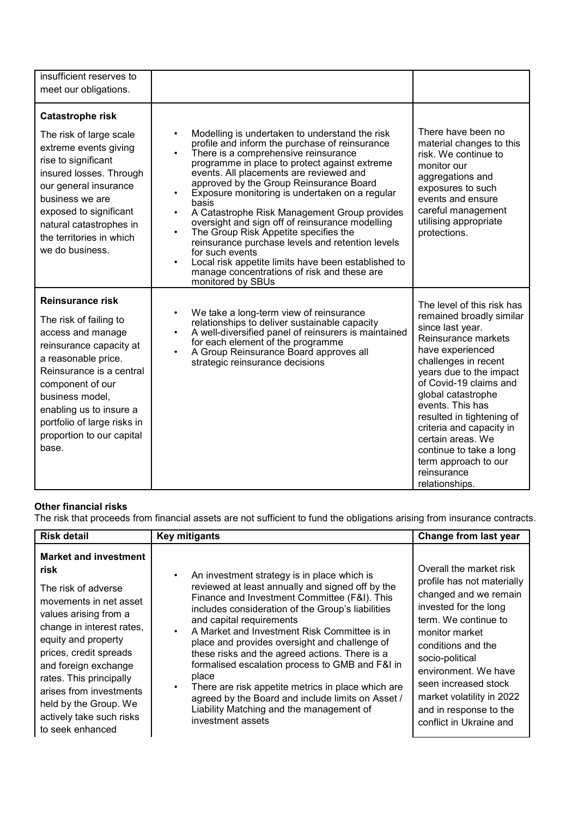| insufficient reserves to<br>meet our obligations.                                                                                                                                                                                                                                           |                                                                                                                                                                                                                                                                                                                                                                                                                                                                                                                                                                                                                                                                                                                                              |                                                                                                                                                                                                                                                                                                                                                                                                                |
|---------------------------------------------------------------------------------------------------------------------------------------------------------------------------------------------------------------------------------------------------------------------------------------------|----------------------------------------------------------------------------------------------------------------------------------------------------------------------------------------------------------------------------------------------------------------------------------------------------------------------------------------------------------------------------------------------------------------------------------------------------------------------------------------------------------------------------------------------------------------------------------------------------------------------------------------------------------------------------------------------------------------------------------------------|----------------------------------------------------------------------------------------------------------------------------------------------------------------------------------------------------------------------------------------------------------------------------------------------------------------------------------------------------------------------------------------------------------------|
| <b>Catastrophe risk</b><br>The risk of large scale<br>extreme events giving<br>rise to significant<br>insured losses. Through<br>our general insurance<br>business we are<br>exposed to significant<br>natural catastrophes in<br>the territories in which<br>we do business.               | Modelling is undertaken to understand the risk<br>profile and inform the purchase of reinsurance<br>There is a comprehensive reinsurance<br>$\bullet$<br>programme in place to protect against extreme<br>events. All placements are reviewed and<br>approved by the Group Reinsurance Board<br>Exposure monitoring is undertaken on a regular<br>$\bullet$<br>basis<br>A Catastrophe Risk Management Group provides<br>oversight and sign off of reinsurance modelling<br>The Group Risk Appetite specifies the<br>$\bullet$<br>reinsurance purchase levels and retention levels<br>for such events<br>Local risk appetite limits have been established to<br>$\bullet$<br>manage concentrations of risk and these are<br>monitored by SBUs | There have been no<br>material changes to this<br>risk. We continue to<br>monitor our<br>aggregations and<br>exposures to such<br>events and ensure<br>careful management<br>utilising appropriate<br>protections.                                                                                                                                                                                             |
| <b>Reinsurance risk</b><br>The risk of failing to<br>access and manage<br>reinsurance capacity at<br>a reasonable price.<br>Reinsurance is a central<br>component of our<br>business model,<br>enabling us to insure a<br>portfolio of large risks in<br>proportion to our capital<br>base. | We take a long-term view of reinsurance<br>$\bullet$<br>relationships to deliver sustainable capacity<br>A well-diversified panel of reinsurers is maintained<br>$\bullet$<br>for each element of the programme<br>A Group Reinsurance Board approves all<br>$\bullet$<br>strategic reinsurance decisions                                                                                                                                                                                                                                                                                                                                                                                                                                    | The level of this risk has<br>remained broadly similar<br>since last year.<br>Reinsurance markets<br>have experienced<br>challenges in recent<br>years due to the impact<br>of Covid-19 claims and<br>global catastrophe<br>events. This has<br>resulted in tightening of<br>criteria and capacity in<br>certain areas. We<br>continue to take a long<br>term approach to our<br>reinsurance<br>relationships. |

# **Other financial risks**

The risk that proceeds from financial assets are not sufficient to fund the obligations arising from insurance contracts.

| <b>Risk detail</b>                                                                                                                                                                                                                                                                                                                                  | <b>Key mitigants</b>                                                                                                                                                                                                                                                                                                                                                                                                                                                                                                                                                                                                        | Change from last year                                                                                                                                                                                                                                                                                                        |
|-----------------------------------------------------------------------------------------------------------------------------------------------------------------------------------------------------------------------------------------------------------------------------------------------------------------------------------------------------|-----------------------------------------------------------------------------------------------------------------------------------------------------------------------------------------------------------------------------------------------------------------------------------------------------------------------------------------------------------------------------------------------------------------------------------------------------------------------------------------------------------------------------------------------------------------------------------------------------------------------------|------------------------------------------------------------------------------------------------------------------------------------------------------------------------------------------------------------------------------------------------------------------------------------------------------------------------------|
| <b>Market and investment</b><br>risk<br>The risk of adverse<br>movements in net asset<br>values arising from a<br>change in interest rates,<br>equity and property<br>prices, credit spreads<br>and foreign exchange<br>rates. This principally<br>arises from investments<br>held by the Group. We<br>actively take such risks<br>to seek enhanced | An investment strategy is in place which is<br>reviewed at least annually and signed off by the<br>Finance and Investment Committee (F&I). This<br>includes consideration of the Group's liabilities<br>and capital requirements<br>A Market and Investment Risk Committee is in<br>place and provides oversight and challenge of<br>these risks and the agreed actions. There is a<br>formalised escalation process to GMB and F&I in<br>place<br>There are risk appetite metrics in place which are<br>agreed by the Board and include limits on Asset /<br>Liability Matching and the management of<br>investment assets | Overall the market risk<br>profile has not materially<br>changed and we remain<br>invested for the long<br>term. We continue to<br>monitor market<br>conditions and the<br>socio-political<br>environment. We have<br>seen increased stock<br>market volatility in 2022<br>and in response to the<br>conflict in Ukraine and |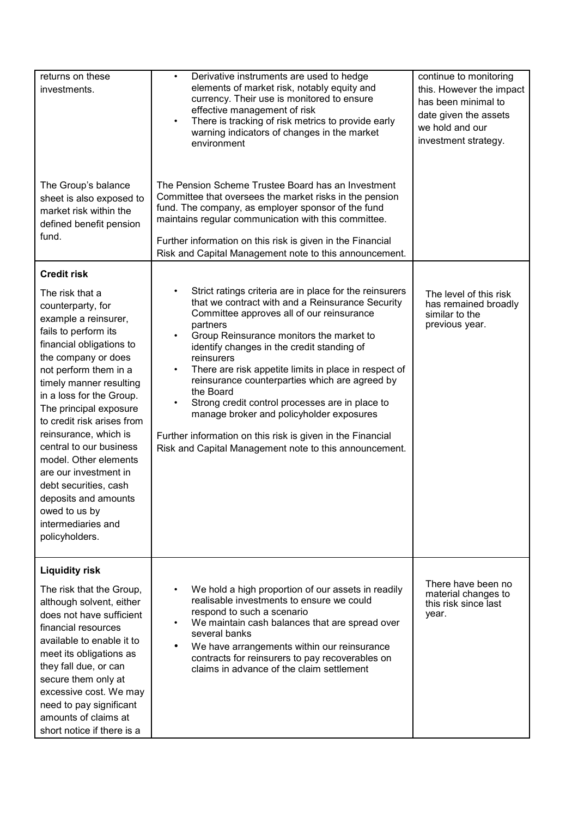| returns on these<br>investments.                                                                                                                                                                                                                                                                                                                                                                                                                                                                | Derivative instruments are used to hedge<br>$\bullet$<br>elements of market risk, notably equity and<br>currency. Their use is monitored to ensure<br>effective management of risk<br>There is tracking of risk metrics to provide early<br>$\bullet$<br>warning indicators of changes in the market<br>environment                                                                                                                                                                                                                                                                                                                                             | continue to monitoring<br>this. However the impact<br>has been minimal to<br>date given the assets<br>we hold and our<br>investment strategy. |
|-------------------------------------------------------------------------------------------------------------------------------------------------------------------------------------------------------------------------------------------------------------------------------------------------------------------------------------------------------------------------------------------------------------------------------------------------------------------------------------------------|-----------------------------------------------------------------------------------------------------------------------------------------------------------------------------------------------------------------------------------------------------------------------------------------------------------------------------------------------------------------------------------------------------------------------------------------------------------------------------------------------------------------------------------------------------------------------------------------------------------------------------------------------------------------|-----------------------------------------------------------------------------------------------------------------------------------------------|
| The Group's balance<br>sheet is also exposed to<br>market risk within the<br>defined benefit pension<br>fund.                                                                                                                                                                                                                                                                                                                                                                                   | The Pension Scheme Trustee Board has an Investment<br>Committee that oversees the market risks in the pension<br>fund. The company, as employer sponsor of the fund<br>maintains regular communication with this committee.<br>Further information on this risk is given in the Financial<br>Risk and Capital Management note to this announcement.                                                                                                                                                                                                                                                                                                             |                                                                                                                                               |
| <b>Credit risk</b>                                                                                                                                                                                                                                                                                                                                                                                                                                                                              |                                                                                                                                                                                                                                                                                                                                                                                                                                                                                                                                                                                                                                                                 |                                                                                                                                               |
| The risk that a<br>counterparty, for<br>example a reinsurer,<br>fails to perform its<br>financial obligations to<br>the company or does<br>not perform them in a<br>timely manner resulting<br>in a loss for the Group.<br>The principal exposure<br>to credit risk arises from<br>reinsurance, which is<br>central to our business<br>model. Other elements<br>are our investment in<br>debt securities, cash<br>deposits and amounts<br>owed to us by<br>intermediaries and<br>policyholders. | Strict ratings criteria are in place for the reinsurers<br>$\bullet$<br>that we contract with and a Reinsurance Security<br>Committee approves all of our reinsurance<br>partners<br>Group Reinsurance monitors the market to<br>٠<br>identify changes in the credit standing of<br>reinsurers<br>There are risk appetite limits in place in respect of<br>$\bullet$<br>reinsurance counterparties which are agreed by<br>the Board<br>Strong credit control processes are in place to<br>٠<br>manage broker and policyholder exposures<br>Further information on this risk is given in the Financial<br>Risk and Capital Management note to this announcement. | The level of this risk<br>has remained broadly<br>similar to the<br>previous year.                                                            |
| <b>Liquidity risk</b><br>The risk that the Group,                                                                                                                                                                                                                                                                                                                                                                                                                                               | We hold a high proportion of our assets in readily                                                                                                                                                                                                                                                                                                                                                                                                                                                                                                                                                                                                              | There have been no                                                                                                                            |
| although solvent, either<br>does not have sufficient<br>financial resources<br>available to enable it to<br>meet its obligations as<br>they fall due, or can<br>secure them only at<br>excessive cost. We may<br>need to pay significant<br>amounts of claims at<br>short notice if there is a                                                                                                                                                                                                  | realisable investments to ensure we could<br>respond to such a scenario<br>We maintain cash balances that are spread over<br>٠<br>several banks<br>We have arrangements within our reinsurance<br>$\bullet$<br>contracts for reinsurers to pay recoverables on<br>claims in advance of the claim settlement                                                                                                                                                                                                                                                                                                                                                     | material changes to<br>this risk since last<br>year.                                                                                          |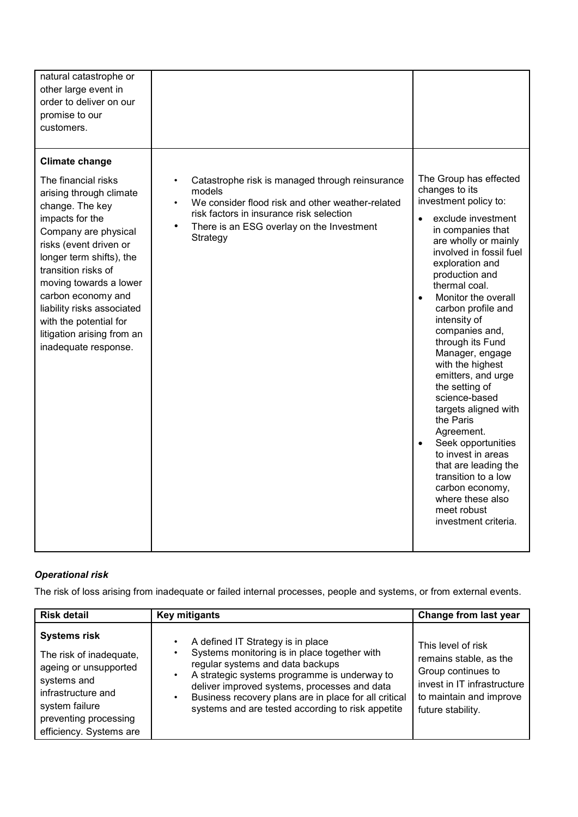| natural catastrophe or<br>other large event in<br>order to deliver on our<br>promise to our<br>customers.                                                                                                                                                                                                                                                                        |                                                                                                                                                                                                                                              |                                                                                                                                                                                                                                                                                                                                                                                                                                                                                                                                                                                                                                                                                |
|----------------------------------------------------------------------------------------------------------------------------------------------------------------------------------------------------------------------------------------------------------------------------------------------------------------------------------------------------------------------------------|----------------------------------------------------------------------------------------------------------------------------------------------------------------------------------------------------------------------------------------------|--------------------------------------------------------------------------------------------------------------------------------------------------------------------------------------------------------------------------------------------------------------------------------------------------------------------------------------------------------------------------------------------------------------------------------------------------------------------------------------------------------------------------------------------------------------------------------------------------------------------------------------------------------------------------------|
| <b>Climate change</b><br>The financial risks<br>arising through climate<br>change. The key<br>impacts for the<br>Company are physical<br>risks (event driven or<br>longer term shifts), the<br>transition risks of<br>moving towards a lower<br>carbon economy and<br>liability risks associated<br>with the potential for<br>litigation arising from an<br>inadequate response. | Catastrophe risk is managed through reinsurance<br>$\bullet$<br>models<br>We consider flood risk and other weather-related<br>risk factors in insurance risk selection<br>$\bullet$<br>There is an ESG overlay on the Investment<br>Strategy | The Group has effected<br>changes to its<br>investment policy to:<br>exclude investment<br>$\bullet$<br>in companies that<br>are wholly or mainly<br>involved in fossil fuel<br>exploration and<br>production and<br>thermal coal.<br>Monitor the overall<br>$\bullet$<br>carbon profile and<br>intensity of<br>companies and,<br>through its Fund<br>Manager, engage<br>with the highest<br>emitters, and urge<br>the setting of<br>science-based<br>targets aligned with<br>the Paris<br>Agreement.<br>Seek opportunities<br>to invest in areas<br>that are leading the<br>transition to a low<br>carbon economy,<br>where these also<br>meet robust<br>investment criteria. |

# *Operational risk*

The risk of loss arising from inadequate or failed internal processes, people and systems, or from external events.

| <b>Risk detail</b>                                                                                                                                                                 | <b>Key mitigants</b>                                                                                                                                                                                                                                                                                                                             | Change from last year                                                                                                                             |
|------------------------------------------------------------------------------------------------------------------------------------------------------------------------------------|--------------------------------------------------------------------------------------------------------------------------------------------------------------------------------------------------------------------------------------------------------------------------------------------------------------------------------------------------|---------------------------------------------------------------------------------------------------------------------------------------------------|
| <b>Systems risk</b><br>The risk of inadequate,<br>ageing or unsupported<br>systems and<br>infrastructure and<br>system failure<br>preventing processing<br>efficiency. Systems are | A defined IT Strategy is in place<br>Systems monitoring is in place together with<br>regular systems and data backups<br>A strategic systems programme is underway to<br>$\bullet$<br>deliver improved systems, processes and data<br>Business recovery plans are in place for all critical<br>systems and are tested according to risk appetite | This level of risk<br>remains stable, as the<br>Group continues to<br>invest in IT infrastructure<br>to maintain and improve<br>future stability. |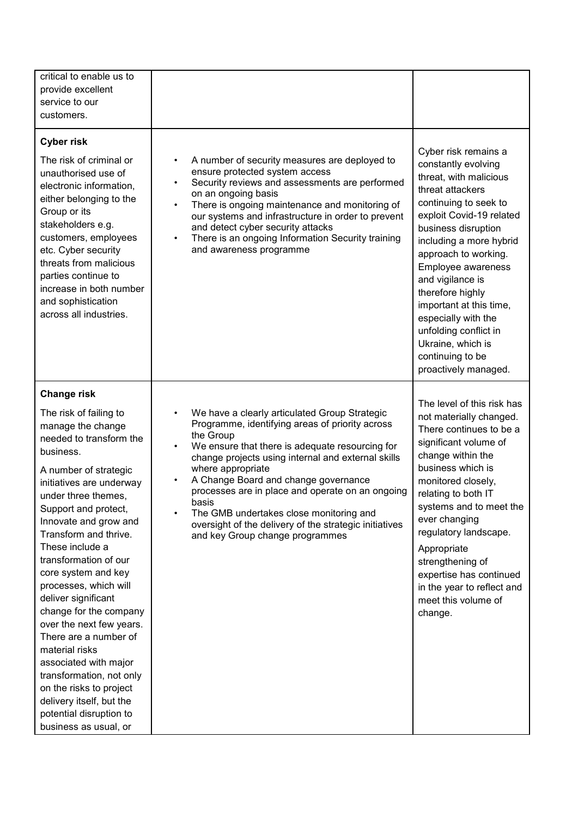| critical to enable us to<br>provide excellent<br>service to our<br>customers.                                                                                                                                                                                                                                                                                                                                                                                                                                                                                                                                                                       |                                                                                                                                                                                                                                                                                                                                                                                                                                                                                          |                                                                                                                                                                                                                                                                                                                                                                                                                                    |
|-----------------------------------------------------------------------------------------------------------------------------------------------------------------------------------------------------------------------------------------------------------------------------------------------------------------------------------------------------------------------------------------------------------------------------------------------------------------------------------------------------------------------------------------------------------------------------------------------------------------------------------------------------|------------------------------------------------------------------------------------------------------------------------------------------------------------------------------------------------------------------------------------------------------------------------------------------------------------------------------------------------------------------------------------------------------------------------------------------------------------------------------------------|------------------------------------------------------------------------------------------------------------------------------------------------------------------------------------------------------------------------------------------------------------------------------------------------------------------------------------------------------------------------------------------------------------------------------------|
| <b>Cyber risk</b><br>The risk of criminal or<br>unauthorised use of<br>electronic information,<br>either belonging to the<br>Group or its<br>stakeholders e.g.<br>customers, employees<br>etc. Cyber security<br>threats from malicious<br>parties continue to<br>increase in both number<br>and sophistication<br>across all industries.                                                                                                                                                                                                                                                                                                           | A number of security measures are deployed to<br>$\bullet$<br>ensure protected system access<br>Security reviews and assessments are performed<br>$\bullet$<br>on an ongoing basis<br>There is ongoing maintenance and monitoring of<br>$\bullet$<br>our systems and infrastructure in order to prevent<br>and detect cyber security attacks<br>There is an ongoing Information Security training<br>$\bullet$<br>and awareness programme                                                | Cyber risk remains a<br>constantly evolving<br>threat, with malicious<br>threat attackers<br>continuing to seek to<br>exploit Covid-19 related<br>business disruption<br>including a more hybrid<br>approach to working.<br>Employee awareness<br>and vigilance is<br>therefore highly<br>important at this time,<br>especially with the<br>unfolding conflict in<br>Ukraine, which is<br>continuing to be<br>proactively managed. |
| <b>Change risk</b><br>The risk of failing to<br>manage the change<br>needed to transform the<br>business.<br>A number of strategic<br>initiatives are underway<br>under three themes,<br>Support and protect,<br>Innovate and grow and<br>Transform and thrive.<br>These include a<br>transformation of our<br>core system and key<br>processes, which will<br>deliver significant<br>change for the company<br>over the next few years.<br>There are a number of<br>material risks<br>associated with major<br>transformation, not only<br>on the risks to project<br>delivery itself, but the<br>potential disruption to<br>business as usual, or | We have a clearly articulated Group Strategic<br>Programme, identifying areas of priority across<br>the Group<br>We ensure that there is adequate resourcing for<br>change projects using internal and external skills<br>where appropriate<br>A Change Board and change governance<br>processes are in place and operate on an ongoing<br>basis<br>The GMB undertakes close monitoring and<br>oversight of the delivery of the strategic initiatives<br>and key Group change programmes | The level of this risk has<br>not materially changed.<br>There continues to be a<br>significant volume of<br>change within the<br>business which is<br>monitored closely,<br>relating to both IT<br>systems and to meet the<br>ever changing<br>regulatory landscape.<br>Appropriate<br>strengthening of<br>expertise has continued<br>in the year to reflect and<br>meet this volume of<br>change.                                |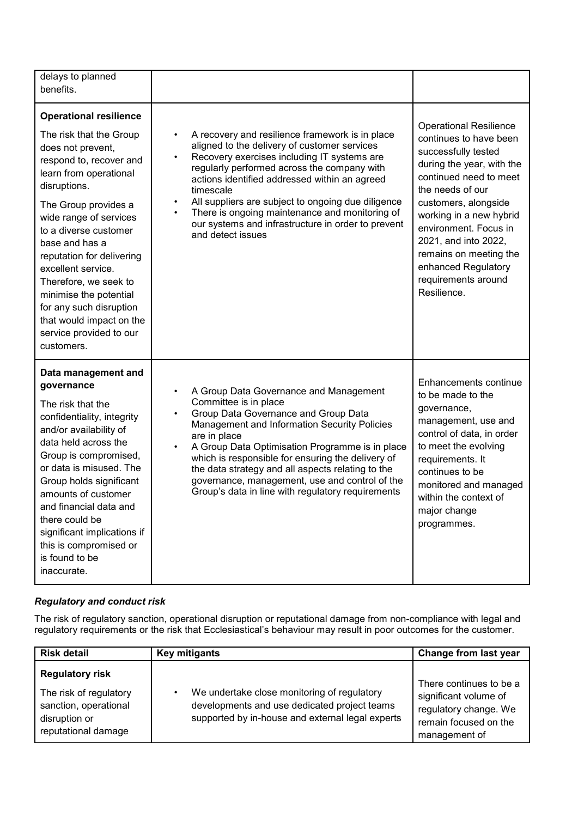| delays to planned<br>benefits.                                                                                                                                                                                                                                                                                                                                                                                                                        |                                                                                                                                                                                                                                                                                                                                                                                                                                                                                       |                                                                                                                                                                                                                                                                                                                                                      |
|-------------------------------------------------------------------------------------------------------------------------------------------------------------------------------------------------------------------------------------------------------------------------------------------------------------------------------------------------------------------------------------------------------------------------------------------------------|---------------------------------------------------------------------------------------------------------------------------------------------------------------------------------------------------------------------------------------------------------------------------------------------------------------------------------------------------------------------------------------------------------------------------------------------------------------------------------------|------------------------------------------------------------------------------------------------------------------------------------------------------------------------------------------------------------------------------------------------------------------------------------------------------------------------------------------------------|
| <b>Operational resilience</b><br>The risk that the Group<br>does not prevent,<br>respond to, recover and<br>learn from operational<br>disruptions.<br>The Group provides a<br>wide range of services<br>to a diverse customer<br>base and has a<br>reputation for delivering<br>excellent service.<br>Therefore, we seek to<br>minimise the potential<br>for any such disruption<br>that would impact on the<br>service provided to our<br>customers. | A recovery and resilience framework is in place<br>$\bullet$<br>aligned to the delivery of customer services<br>Recovery exercises including IT systems are<br>$\bullet$<br>regularly performed across the company with<br>actions identified addressed within an agreed<br>timescale<br>All suppliers are subject to ongoing due diligence<br>$\bullet$<br>There is ongoing maintenance and monitoring of<br>our systems and infrastructure in order to prevent<br>and detect issues | <b>Operational Resilience</b><br>continues to have been<br>successfully tested<br>during the year, with the<br>continued need to meet<br>the needs of our<br>customers, alongside<br>working in a new hybrid<br>environment. Focus in<br>2021, and into 2022,<br>remains on meeting the<br>enhanced Regulatory<br>requirements around<br>Resilience. |
| Data management and<br>governance<br>The risk that the<br>confidentiality, integrity<br>and/or availability of<br>data held across the<br>Group is compromised,<br>or data is misused. The<br>Group holds significant<br>amounts of customer<br>and financial data and<br>there could be<br>significant implications if<br>this is compromised or<br>is found to be<br>inaccurate.                                                                    | A Group Data Governance and Management<br>$\bullet$<br>Committee is in place<br>Group Data Governance and Group Data<br>$\bullet$<br>Management and Information Security Policies<br>are in place<br>A Group Data Optimisation Programme is in place<br>$\bullet$<br>which is responsible for ensuring the delivery of<br>the data strategy and all aspects relating to the<br>governance, management, use and control of the<br>Group's data in line with regulatory requirements    | Enhancements continue<br>to be made to the<br>governance,<br>management, use and<br>control of data, in order<br>to meet the evolving<br>requirements. It<br>continues to be<br>monitored and managed<br>within the context of<br>major change<br>programmes.                                                                                        |

## *Regulatory and conduct risk*

The risk of regulatory sanction, operational disruption or reputational damage from non-compliance with legal and regulatory requirements or the risk that Ecclesiastical's behaviour may result in poor outcomes for the customer.

| <b>Key mitigants</b>                                                                                                                            | Change from last year                                                                                               |
|-------------------------------------------------------------------------------------------------------------------------------------------------|---------------------------------------------------------------------------------------------------------------------|
| We undertake close monitoring of regulatory<br>developments and use dedicated project teams<br>supported by in-house and external legal experts | There continues to be a<br>significant volume of<br>regulatory change. We<br>remain focused on the<br>management of |
|                                                                                                                                                 |                                                                                                                     |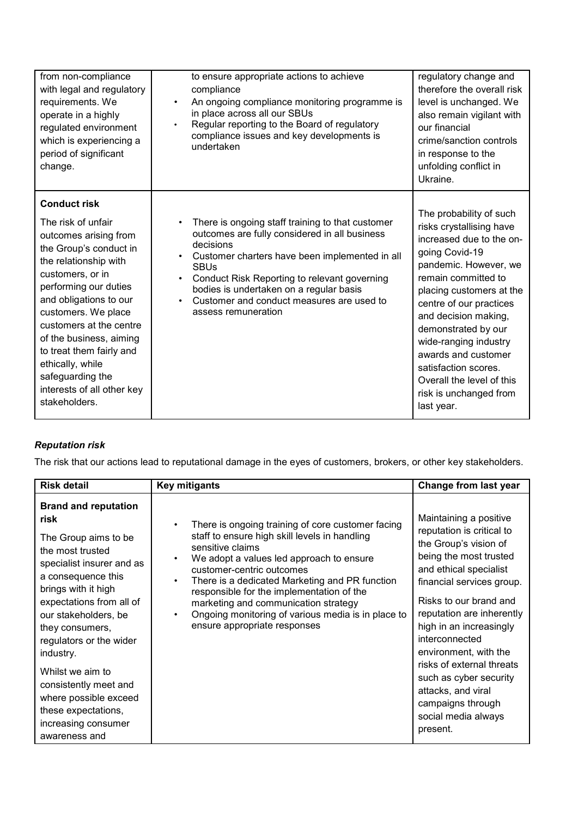| from non-compliance<br>with legal and regulatory<br>requirements. We<br>operate in a highly<br>regulated environment<br>which is experiencing a<br>period of significant<br>change.                                                                                                                                                                                                          | to ensure appropriate actions to achieve<br>compliance<br>An ongoing compliance monitoring programme is<br>$\bullet$<br>in place across all our SBUs<br>Regular reporting to the Board of regulatory<br>$\bullet$<br>compliance issues and key developments is<br>undertaken                                                                   | regulatory change and<br>therefore the overall risk<br>level is unchanged. We<br>also remain vigilant with<br>our financial<br>crime/sanction controls<br>in response to the<br>unfolding conflict in<br>Ukraine.                                                                                                                                                                                    |
|----------------------------------------------------------------------------------------------------------------------------------------------------------------------------------------------------------------------------------------------------------------------------------------------------------------------------------------------------------------------------------------------|------------------------------------------------------------------------------------------------------------------------------------------------------------------------------------------------------------------------------------------------------------------------------------------------------------------------------------------------|------------------------------------------------------------------------------------------------------------------------------------------------------------------------------------------------------------------------------------------------------------------------------------------------------------------------------------------------------------------------------------------------------|
| <b>Conduct risk</b><br>The risk of unfair<br>outcomes arising from<br>the Group's conduct in<br>the relationship with<br>customers, or in<br>performing our duties<br>and obligations to our<br>customers. We place<br>customers at the centre<br>of the business, aiming<br>to treat them fairly and<br>ethically, while<br>safeguarding the<br>interests of all other key<br>stakeholders. | There is ongoing staff training to that customer<br>outcomes are fully considered in all business<br>decisions<br>Customer charters have been implemented in all<br><b>SBUs</b><br>Conduct Risk Reporting to relevant governing<br>bodies is undertaken on a regular basis<br>Customer and conduct measures are used to<br>assess remuneration | The probability of such<br>risks crystallising have<br>increased due to the on-<br>going Covid-19<br>pandemic. However, we<br>remain committed to<br>placing customers at the<br>centre of our practices<br>and decision making,<br>demonstrated by our<br>wide-ranging industry<br>awards and customer<br>satisfaction scores.<br>Overall the level of this<br>risk is unchanged from<br>last year. |

# *Reputation risk*

The risk that our actions lead to reputational damage in the eyes of customers, brokers, or other key stakeholders.

| <b>Risk detail</b>                                                                                                                                                                                                                                                                                                                                                                                            | <b>Key mitigants</b>                                                                                                                                                                                                                                                                                                                                                                                                         | Change from last year                                                                                                                                                                                                                                                                                                                                                                                                           |
|---------------------------------------------------------------------------------------------------------------------------------------------------------------------------------------------------------------------------------------------------------------------------------------------------------------------------------------------------------------------------------------------------------------|------------------------------------------------------------------------------------------------------------------------------------------------------------------------------------------------------------------------------------------------------------------------------------------------------------------------------------------------------------------------------------------------------------------------------|---------------------------------------------------------------------------------------------------------------------------------------------------------------------------------------------------------------------------------------------------------------------------------------------------------------------------------------------------------------------------------------------------------------------------------|
| <b>Brand and reputation</b><br>risk<br>The Group aims to be<br>the most trusted<br>specialist insurer and as<br>a consequence this<br>brings with it high<br>expectations from all of<br>our stakeholders, be<br>they consumers,<br>regulators or the wider<br>industry.<br>Whilst we aim to<br>consistently meet and<br>where possible exceed<br>these expectations,<br>increasing consumer<br>awareness and | There is ongoing training of core customer facing<br>staff to ensure high skill levels in handling<br>sensitive claims<br>We adopt a values led approach to ensure<br>customer-centric outcomes<br>There is a dedicated Marketing and PR function<br>responsible for the implementation of the<br>marketing and communication strategy<br>Ongoing monitoring of various media is in place to<br>ensure appropriate responses | Maintaining a positive<br>reputation is critical to<br>the Group's vision of<br>being the most trusted<br>and ethical specialist<br>financial services group.<br>Risks to our brand and<br>reputation are inherently<br>high in an increasingly<br>interconnected<br>environment, with the<br>risks of external threats<br>such as cyber security<br>attacks, and viral<br>campaigns through<br>social media always<br>present. |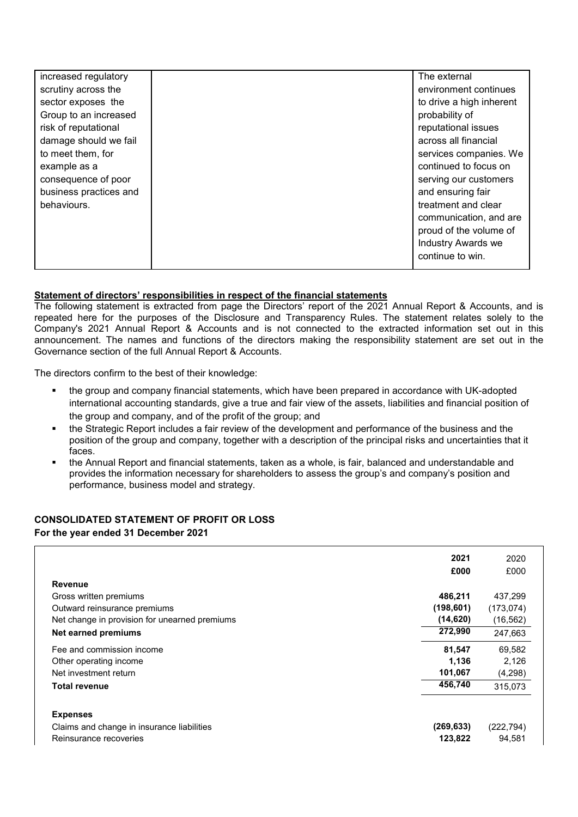| increased regulatory   | The external              |
|------------------------|---------------------------|
| scrutiny across the    | environment continues     |
| sector exposes the     | to drive a high inherent  |
| Group to an increased  | probability of            |
| risk of reputational   | reputational issues       |
| damage should we fail  | across all financial      |
| to meet them, for      | services companies. We    |
| example as a           | continued to focus on     |
| consequence of poor    | serving our customers     |
| business practices and | and ensuring fair         |
| behaviours.            | treatment and clear       |
|                        | communication, and are    |
|                        | proud of the volume of    |
|                        | <b>Industry Awards we</b> |
|                        | continue to win.          |
|                        |                           |

## **Statement of directors' responsibilities in respect of the financial statements**

The following statement is extracted from page the Directors' report of the 2021 Annual Report & Accounts, and is repeated here for the purposes of the Disclosure and Transparency Rules. The statement relates solely to the Company's 2021 Annual Report & Accounts and is not connected to the extracted information set out in this announcement. The names and functions of the directors making the responsibility statement are set out in the Governance section of the full Annual Report & Accounts.

The directors confirm to the best of their knowledge:

- the group and company financial statements, which have been prepared in accordance with UK-adopted international accounting standards, give a true and fair view of the assets, liabilities and financial position of the group and company, and of the profit of the group; and
- the Strategic Report includes a fair review of the development and performance of the business and the position of the group and company, together with a description of the principal risks and uncertainties that it faces.
- the Annual Report and financial statements, taken as a whole, is fair, balanced and understandable and provides the information necessary for shareholders to assess the group's and company's position and performance, business model and strategy.

## **CONSOLIDATED STATEMENT OF PROFIT OR LOSS For the year ended 31 December 2021**

|                                               | 2021       | 2020       |
|-----------------------------------------------|------------|------------|
|                                               | £000       | £000       |
| <b>Revenue</b>                                |            |            |
| Gross written premiums                        | 486,211    | 437,299    |
| Outward reinsurance premiums                  | (198, 601) | (173, 074) |
| Net change in provision for unearned premiums | (14, 620)  | (16, 562)  |
| <b>Net earned premiums</b>                    | 272,990    | 247,663    |
| Fee and commission income                     | 81,547     | 69,582     |
| Other operating income                        | 1,136      | 2,126      |
| Net investment return                         | 101,067    | (4,298)    |
| <b>Total revenue</b>                          | 456,740    | 315,073    |
| <b>Expenses</b>                               |            |            |
| Claims and change in insurance liabilities    | (269, 633) | (222, 794) |
| Reinsurance recoveries                        | 123,822    | 94.581     |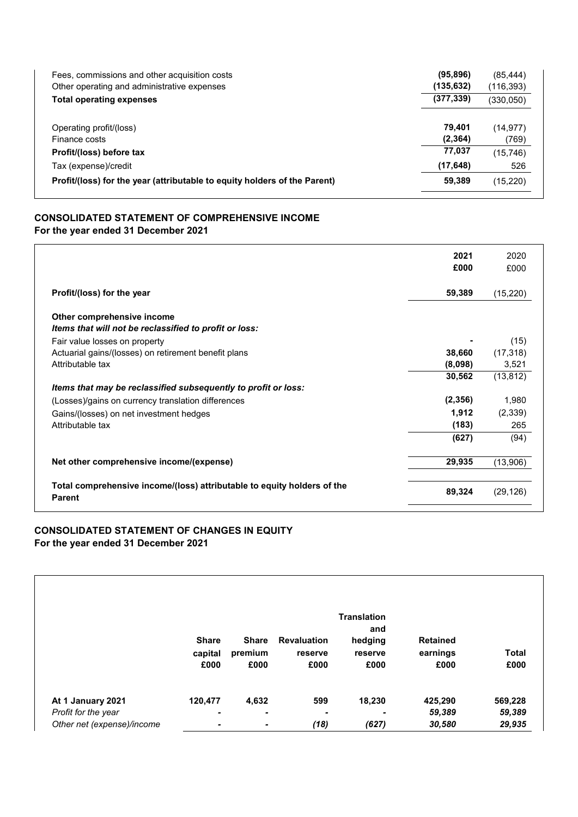| (95, 896)  | (85, 444)  |
|------------|------------|
| (135, 632) | (116, 393) |
| (377, 339) | (330, 050) |
| 79.401     | (14, 977)  |
| (2, 364)   | (769)      |
| 77,037     | (15, 746)  |
| (17, 648)  | 526        |
| 59,389     | (15,220)   |
|            |            |

## **CONSOLIDATED STATEMENT OF COMPREHENSIVE INCOME For the year ended 31 December 2021**

|                                                                                          | 2021<br>£000 | 2020<br>£000 |
|------------------------------------------------------------------------------------------|--------------|--------------|
| Profit/(loss) for the year                                                               | 59,389       | (15, 220)    |
| Other comprehensive income<br>Items that will not be reclassified to profit or loss:     |              |              |
| Fair value losses on property                                                            |              | (15)         |
| Actuarial gains/(losses) on retirement benefit plans                                     | 38,660       | (17, 318)    |
| Attributable tax                                                                         | (8,098)      | 3,521        |
|                                                                                          | 30,562       | (13, 812)    |
| Items that may be reclassified subsequently to profit or loss:                           |              |              |
| (Losses)/gains on currency translation differences                                       | (2, 356)     | 1,980        |
| Gains/(losses) on net investment hedges                                                  | 1,912        | (2, 339)     |
| Attributable tax                                                                         | (183)        | 265          |
|                                                                                          | (627)        | (94)         |
| Net other comprehensive income/(expense)                                                 | 29,935       | (13,906)     |
| Total comprehensive income/(loss) attributable to equity holders of the<br><b>Parent</b> | 89,324       | (29, 126)    |

## **CONSOLIDATED STATEMENT OF CHANGES IN EQUITY For the year ended 31 December 2021**

|                            | <b>Share</b><br>capital<br>£000 | <b>Share</b><br>premium<br>£000 | <b>Revaluation</b><br>reserve<br>£000 | <b>Translation</b><br>and<br>hedging<br>reserve<br>£000 | <b>Retained</b><br>earnings<br>£000 | <b>Total</b><br>£000 |
|----------------------------|---------------------------------|---------------------------------|---------------------------------------|---------------------------------------------------------|-------------------------------------|----------------------|
| At 1 January 2021          | 120,477                         | 4,632                           | 599                                   | 18,230                                                  | 425,290                             | 569,228              |
| Profit for the year        |                                 | ۰                               | -                                     |                                                         | 59,389                              | 59,389               |
| Other net (expense)/income | ٠                               | ٠                               | (18)                                  | (627)                                                   | 30,580                              | 29,935               |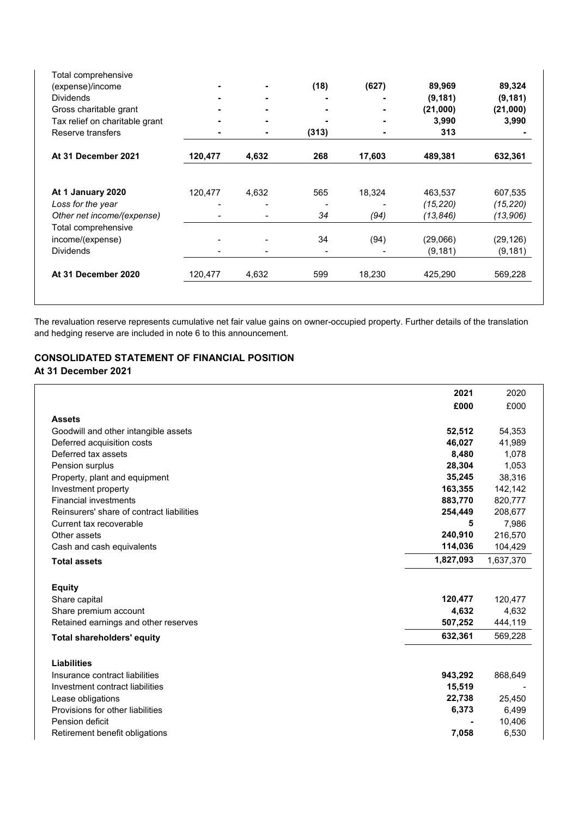| Total comprehensive            |         |       |       |        |           |           |
|--------------------------------|---------|-------|-------|--------|-----------|-----------|
| (expense)/income               |         |       | (18)  | (627)  | 89,969    | 89,324    |
| <b>Dividends</b>               |         |       |       |        | (9, 181)  | (9, 181)  |
| Gross charitable grant         |         |       |       |        | (21,000)  | (21,000)  |
| Tax relief on charitable grant |         |       |       | ۰      | 3,990     | 3,990     |
| Reserve transfers              |         |       | (313) | ٠      | 313       |           |
| At 31 December 2021            | 120,477 | 4,632 | 268   | 17,603 | 489,381   | 632,361   |
| At 1 January 2020              | 120,477 | 4,632 | 565   | 18,324 | 463,537   | 607,535   |
| Loss for the year              |         |       |       |        | (15, 220) | (15, 220) |
| Other net income/(expense)     |         |       | 34    | (94)   | (13, 846) | (13,906)  |
| Total comprehensive            |         |       |       |        |           |           |
| income/(expense)               |         |       | 34    | (94)   | (29,066)  | (29, 126) |
| <b>Dividends</b>               |         |       |       |        | (9, 181)  | (9, 181)  |
| At 31 December 2020            | 120,477 | 4,632 | 599   | 18,230 | 425,290   | 569,228   |

The revaluation reserve represents cumulative net fair value gains on owner-occupied property. Further details of the translation and hedging reserve are included in note 6 to this announcement.

# **CONSOLIDATED STATEMENT OF FINANCIAL POSITION**

## **At 31 December 2021**

|                                           | 2021      | 2020      |
|-------------------------------------------|-----------|-----------|
|                                           | £000      | £000      |
| <b>Assets</b>                             |           |           |
| Goodwill and other intangible assets      | 52,512    | 54,353    |
| Deferred acquisition costs                | 46,027    | 41,989    |
| Deferred tax assets                       | 8,480     | 1,078     |
| Pension surplus                           | 28,304    | 1,053     |
| Property, plant and equipment             | 35,245    | 38,316    |
| Investment property                       | 163,355   | 142,142   |
| <b>Financial investments</b>              | 883,770   | 820,777   |
| Reinsurers' share of contract liabilities | 254,449   | 208,677   |
| Current tax recoverable                   | 5         | 7,986     |
| Other assets                              | 240,910   | 216,570   |
| Cash and cash equivalents                 | 114,036   | 104,429   |
| <b>Total assets</b>                       | 1,827,093 | 1,637,370 |
| <b>Equity</b>                             |           |           |
| Share capital                             | 120,477   | 120,477   |
| Share premium account                     | 4,632     | 4,632     |
| Retained earnings and other reserves      | 507,252   | 444,119   |
| <b>Total shareholders' equity</b>         | 632,361   | 569,228   |
| <b>Liabilities</b>                        |           |           |
| Insurance contract liabilities            | 943,292   | 868,649   |
| Investment contract liabilities           | 15,519    |           |
| Lease obligations                         | 22,738    | 25,450    |
| Provisions for other liabilities          | 6,373     | 6,499     |
| Pension deficit                           |           | 10,406    |
| Retirement benefit obligations            | 7,058     | 6,530     |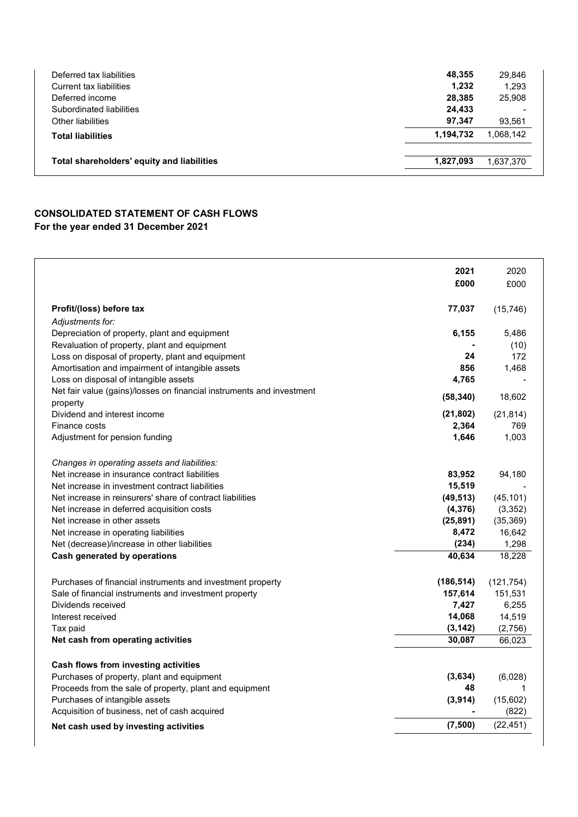| Deferred tax liabilities                   | 48.355    | 29,846                   |
|--------------------------------------------|-----------|--------------------------|
| Current tax liabilities                    | 1,232     | 1,293                    |
| Deferred income                            | 28,385    | 25,908                   |
| Subordinated liabilities                   | 24,433    | $\overline{\phantom{0}}$ |
| Other liabilities                          | 97,347    | 93.561                   |
| <b>Total liabilities</b>                   | 1,194,732 | 1.068.142                |
| Total shareholders' equity and liabilities | 1.827.093 | 1,637,370                |

# **CONSOLIDATED STATEMENT OF CASH FLOWS For the year ended 31 December 2021**

|                                                                                           | 2021<br>£000       | 2020<br>£000      |
|-------------------------------------------------------------------------------------------|--------------------|-------------------|
|                                                                                           |                    |                   |
| Profit/(loss) before tax                                                                  | 77,037             | (15, 746)         |
| Adjustments for:                                                                          |                    |                   |
| Depreciation of property, plant and equipment                                             | 6,155              | 5,486             |
| Revaluation of property, plant and equipment                                              |                    | (10)              |
| Loss on disposal of property, plant and equipment                                         | 24<br>856          | 172               |
| Amortisation and impairment of intangible assets<br>Loss on disposal of intangible assets | 4,765              | 1.468             |
| Net fair value (gains)/losses on financial instruments and investment                     |                    |                   |
| property                                                                                  | (58, 340)          | 18,602            |
| Dividend and interest income                                                              | (21, 802)          | (21, 814)         |
| Finance costs                                                                             | 2,364              | 769               |
| Adjustment for pension funding                                                            | 1,646              | 1,003             |
| Changes in operating assets and liabilities:                                              |                    |                   |
| Net increase in insurance contract liabilities                                            | 83,952             | 94,180            |
| Net increase in investment contract liabilities                                           | 15,519             |                   |
| Net increase in reinsurers' share of contract liabilities                                 | (49, 513)          | (45, 101)         |
| Net increase in deferred acquisition costs                                                | (4, 376)           | (3, 352)          |
| Net increase in other assets                                                              | (25, 891)          | (35, 369)         |
| Net increase in operating liabilities                                                     | 8,472              | 16,642            |
| Net (decrease)/increase in other liabilities                                              | (234)              | 1,298             |
| <b>Cash generated by operations</b>                                                       | 40,634             | 18,228            |
| Purchases of financial instruments and investment property                                | (186, 514)         | (121, 754)        |
| Sale of financial instruments and investment property                                     | 157,614            | 151,531           |
| Dividends received                                                                        | 7,427              | 6,255             |
| Interest received                                                                         | 14,068<br>(3, 142) | 14,519<br>(2,756) |
| Tax paid<br>Net cash from operating activities                                            | 30,087             | 66,023            |
|                                                                                           |                    |                   |
| Cash flows from investing activities                                                      |                    |                   |
| Purchases of property, plant and equipment                                                | (3,634)            | (6,028)           |
| Proceeds from the sale of property, plant and equipment                                   | 48                 |                   |
| Purchases of intangible assets                                                            | (3,914)            | (15,602)          |
| Acquisition of business, net of cash acquired                                             |                    | (822)             |
| Net cash used by investing activities                                                     | (7,500)            | (22, 451)         |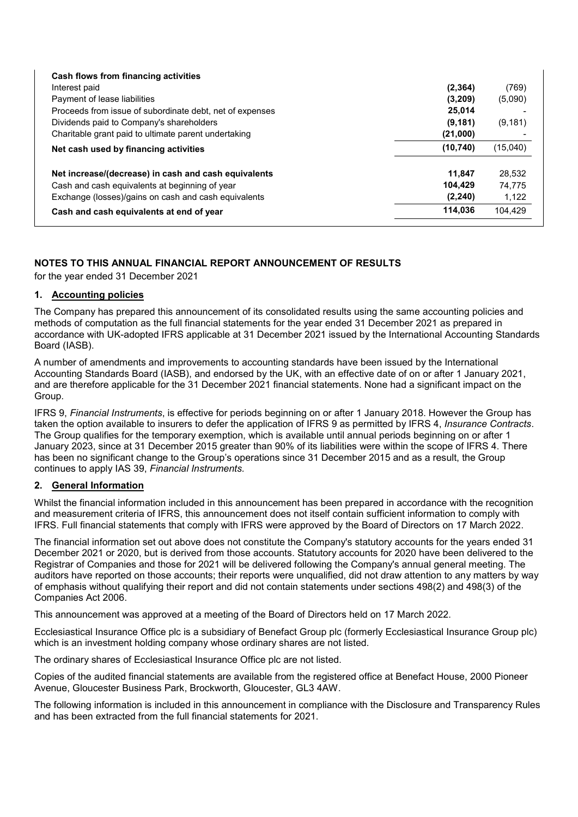| Cash flows from financing activities                     |           |          |
|----------------------------------------------------------|-----------|----------|
| Interest paid                                            | (2, 364)  | (769)    |
| Payment of lease liabilities                             | (3,209)   | (5,090)  |
| Proceeds from issue of subordinate debt, net of expenses | 25,014    |          |
| Dividends paid to Company's shareholders                 | (9, 181)  | (9, 181) |
| Charitable grant paid to ultimate parent undertaking     | (21,000)  |          |
| Net cash used by financing activities                    | (10, 740) | (15,040) |
| Net increase/(decrease) in cash and cash equivalents     | 11.847    | 28.532   |
| Cash and cash equivalents at beginning of year           | 104.429   | 74.775   |
| Exchange (losses)/gains on cash and cash equivalents     | (2, 240)  | 1,122    |
| Cash and cash equivalents at end of year                 | 114.036   | 104,429  |

## **NOTES TO THIS ANNUAL FINANCIAL REPORT ANNOUNCEMENT OF RESULTS**

for the year ended 31 December 2021

## **1. Accounting policies**

The Company has prepared this announcement of its consolidated results using the same accounting policies and methods of computation as the full financial statements for the year ended 31 December 2021 as prepared in accordance with UK-adopted IFRS applicable at 31 December 2021 issued by the International Accounting Standards Board (IASB).

A number of amendments and improvements to accounting standards have been issued by the International Accounting Standards Board (IASB), and endorsed by the UK, with an effective date of on or after 1 January 2021, and are therefore applicable for the 31 December 2021 financial statements. None had a significant impact on the Group.

IFRS 9, *Financial Instruments*, is effective for periods beginning on or after 1 January 2018. However the Group has taken the option available to insurers to defer the application of IFRS 9 as permitted by IFRS 4, *Insurance Contracts*. The Group qualifies for the temporary exemption, which is available until annual periods beginning on or after 1 January 2023, since at 31 December 2015 greater than 90% of its liabilities were within the scope of IFRS 4. There has been no significant change to the Group's operations since 31 December 2015 and as a result, the Group continues to apply IAS 39, *Financial Instruments.*

## **2. General Information**

Whilst the financial information included in this announcement has been prepared in accordance with the recognition and measurement criteria of IFRS, this announcement does not itself contain sufficient information to comply with IFRS. Full financial statements that comply with IFRS were approved by the Board of Directors on 17 March 2022.

The financial information set out above does not constitute the Company's statutory accounts for the years ended 31 December 2021 or 2020, but is derived from those accounts. Statutory accounts for 2020 have been delivered to the Registrar of Companies and those for 2021 will be delivered following the Company's annual general meeting. The auditors have reported on those accounts; their reports were unqualified, did not draw attention to any matters by way of emphasis without qualifying their report and did not contain statements under sections 498(2) and 498(3) of the Companies Act 2006.

This announcement was approved at a meeting of the Board of Directors held on 17 March 2022.

Ecclesiastical Insurance Office plc is a subsidiary of Benefact Group plc (formerly Ecclesiastical Insurance Group plc) which is an investment holding company whose ordinary shares are not listed.

The ordinary shares of Ecclesiastical Insurance Office plc are not listed.

Copies of the audited financial statements are available from the registered office at Benefact House, 2000 Pioneer Avenue, Gloucester Business Park, Brockworth, Gloucester, GL3 4AW.

The following information is included in this announcement in compliance with the Disclosure and Transparency Rules and has been extracted from the full financial statements for 2021.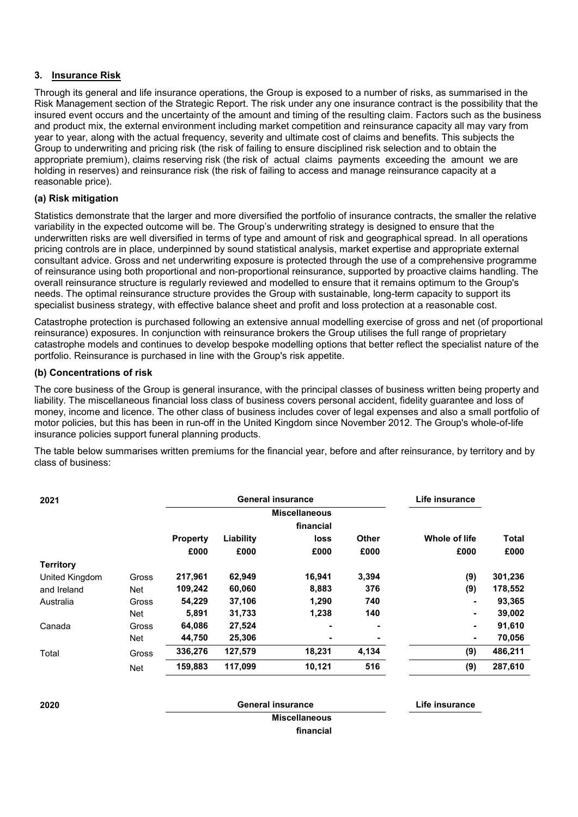## **3. Insurance Risk**

Through its general and life insurance operations, the Group is exposed to a number of risks, as summarised in the Risk Management section of the Strategic Report. The risk under any one insurance contract is the possibility that the insured event occurs and the uncertainty of the amount and timing of the resulting claim. Factors such as the business and product mix, the external environment including market competition and reinsurance capacity all may vary from year to year, along with the actual frequency, severity and ultimate cost of claims and benefits. This subjects the Group to underwriting and pricing risk (the risk of failing to ensure disciplined risk selection and to obtain the appropriate premium), claims reserving risk (the risk of actual claims payments exceeding the amount we are holding in reserves) and reinsurance risk (the risk of failing to access and manage reinsurance capacity at a reasonable price).

## **(a) Risk mitigation**

Statistics demonstrate that the larger and more diversified the portfolio of insurance contracts, the smaller the relative variability in the expected outcome will be. The Group's underwriting strategy is designed to ensure that the underwritten risks are well diversified in terms of type and amount of risk and geographical spread. In all operations pricing controls are in place, underpinned by sound statistical analysis, market expertise and appropriate external consultant advice. Gross and net underwriting exposure is protected through the use of a comprehensive programme of reinsurance using both proportional and non-proportional reinsurance, supported by proactive claims handling. The overall reinsurance structure is regularly reviewed and modelled to ensure that it remains optimum to the Group's needs. The optimal reinsurance structure provides the Group with sustainable, long-term capacity to support its specialist business strategy, with effective balance sheet and profit and loss protection at a reasonable cost.

Catastrophe protection is purchased following an extensive annual modelling exercise of gross and net (of proportional reinsurance) exposures. In conjunction with reinsurance brokers the Group utilises the full range of proprietary catastrophe models and continues to develop bespoke modelling options that better reflect the specialist nature of the portfolio. Reinsurance is purchased in line with the Group's risk appetite.

## **(b) Concentrations of risk**

The core business of the Group is general insurance, with the principal classes of business written being property and liability. The miscellaneous financial loss class of business covers personal accident, fidelity guarantee and loss of money, income and licence. The other class of business includes cover of legal expenses and also a small portfolio of motor policies, but this has been in run-off in the United Kingdom since November 2012. The Group's whole-of-life insurance policies support funeral planning products.

The table below summarises written premiums for the financial year, before and after reinsurance, by territory and by class of business:

| 2021             |       |                 | <b>General insurance</b> | Life insurance |              |               |              |
|------------------|-------|-----------------|--------------------------|----------------|--------------|---------------|--------------|
|                  |       |                 | <b>Miscellaneous</b>     |                |              |               |              |
|                  |       |                 |                          | financial      |              |               |              |
|                  |       | <b>Property</b> | Liability                | loss           | <b>Other</b> | Whole of life | <b>Total</b> |
|                  |       | £000            | £000                     | £000           | £000         | £000          | £000         |
| <b>Territory</b> |       |                 |                          |                |              |               |              |
| United Kingdom   | Gross | 217,961         | 62,949                   | 16,941         | 3,394        | (9)           | 301,236      |
| and Ireland      | Net   | 109,242         | 60,060                   | 8,883          | 376          | (9)           | 178,552      |
| Australia        | Gross | 54,229          | 37,106                   | 1,290          | 740          | ٠             | 93,365       |
|                  | Net   | 5,891           | 31,733                   | 1,238          | 140          | ۰             | 39,002       |
| Canada           | Gross | 64,086          | 27,524                   | -              |              | ٠             | 91,610       |
|                  | Net   | 44,750          | 25,306                   | ٠              |              | ۰             | 70,056       |
| Total            | Gross | 336,276         | 127,579                  | 18,231         | 4,134        | (9)           | 486,211      |
|                  | Net   | 159,883         | 117,099                  | 10,121         | 516          | (9)           | 287,610      |

**2020 General insurance Life insurance**

**Miscellaneous financial**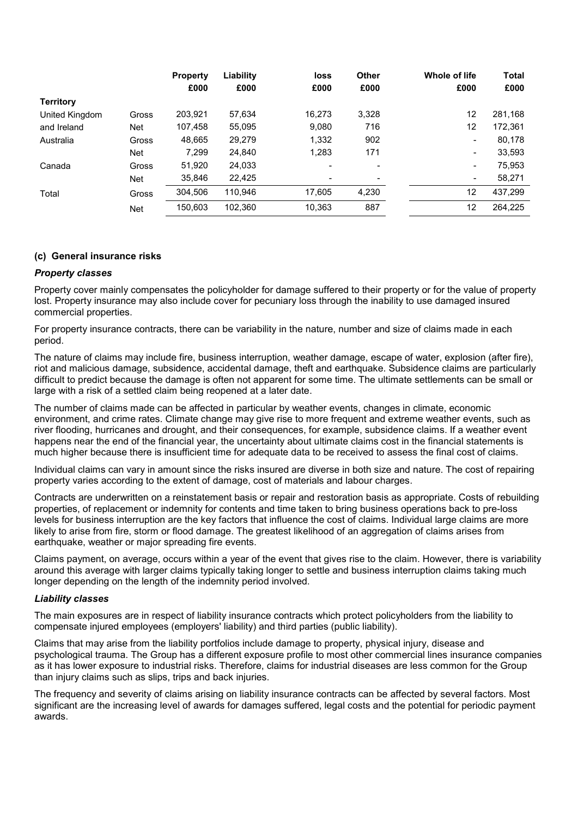|                  |            | <b>Property</b> | Liability | loss           | Other | Whole of life            | <b>Total</b> |
|------------------|------------|-----------------|-----------|----------------|-------|--------------------------|--------------|
|                  |            | £000            | £000      | £000           | £000  | £000                     | £000         |
| <b>Territory</b> |            |                 |           |                |       |                          |              |
| United Kingdom   | Gross      | 203,921         | 57,634    | 16.273         | 3,328 | 12                       | 281,168      |
| and Ireland      | <b>Net</b> | 107,458         | 55,095    | 9,080          | 716   | 12                       | 172,361      |
| Australia        | Gross      | 48,665          | 29,279    | 1,332          | 902   | $\overline{\phantom{a}}$ | 80,178       |
|                  | <b>Net</b> | 7,299           | 24,840    | 1,283          | 171   | $\blacksquare$           | 33,593       |
| Canada           | Gross      | 51,920          | 24,033    | $\blacksquare$ |       | $\blacksquare$           | 75,953       |
|                  | <b>Net</b> | 35,846          | 22,425    |                |       | $\blacksquare$           | 58,271       |
| Total            | Gross      | 304,506         | 110,946   | 17,605         | 4,230 | 12                       | 437,299      |
|                  | <b>Net</b> | 150,603         | 102,360   | 10,363         | 887   | 12                       | 264.225      |

## **(c) General insurance risks**

## *Property classes*

Property cover mainly compensates the policyholder for damage suffered to their property or for the value of property lost. Property insurance may also include cover for pecuniary loss through the inability to use damaged insured commercial properties.

For property insurance contracts, there can be variability in the nature, number and size of claims made in each period.

The nature of claims may include fire, business interruption, weather damage, escape of water, explosion (after fire), riot and malicious damage, subsidence, accidental damage, theft and earthquake. Subsidence claims are particularly difficult to predict because the damage is often not apparent for some time. The ultimate settlements can be small or large with a risk of a settled claim being reopened at a later date.

The number of claims made can be affected in particular by weather events, changes in climate, economic environment, and crime rates. Climate change may give rise to more frequent and extreme weather events, such as river flooding, hurricanes and drought, and their consequences, for example, subsidence claims. If a weather event happens near the end of the financial year, the uncertainty about ultimate claims cost in the financial statements is much higher because there is insufficient time for adequate data to be received to assess the final cost of claims.

Individual claims can vary in amount since the risks insured are diverse in both size and nature. The cost of repairing property varies according to the extent of damage, cost of materials and labour charges.

Contracts are underwritten on a reinstatement basis or repair and restoration basis as appropriate. Costs of rebuilding properties, of replacement or indemnity for contents and time taken to bring business operations back to pre-loss levels for business interruption are the key factors that influence the cost of claims. Individual large claims are more likely to arise from fire, storm or flood damage. The greatest likelihood of an aggregation of claims arises from earthquake, weather or major spreading fire events.

Claims payment, on average, occurs within a year of the event that gives rise to the claim. However, there is variability around this average with larger claims typically taking longer to settle and business interruption claims taking much longer depending on the length of the indemnity period involved.

### *Liability classes*

The main exposures are in respect of liability insurance contracts which protect policyholders from the liability to compensate injured employees (employers' liability) and third parties (public liability).

Claims that may arise from the liability portfolios include damage to property, physical injury, disease and psychological trauma. The Group has a different exposure profile to most other commercial lines insurance companies as it has lower exposure to industrial risks. Therefore, claims for industrial diseases are less common for the Group than injury claims such as slips, trips and back injuries.

The frequency and severity of claims arising on liability insurance contracts can be affected by several factors. Most significant are the increasing level of awards for damages suffered, legal costs and the potential for periodic payment awards.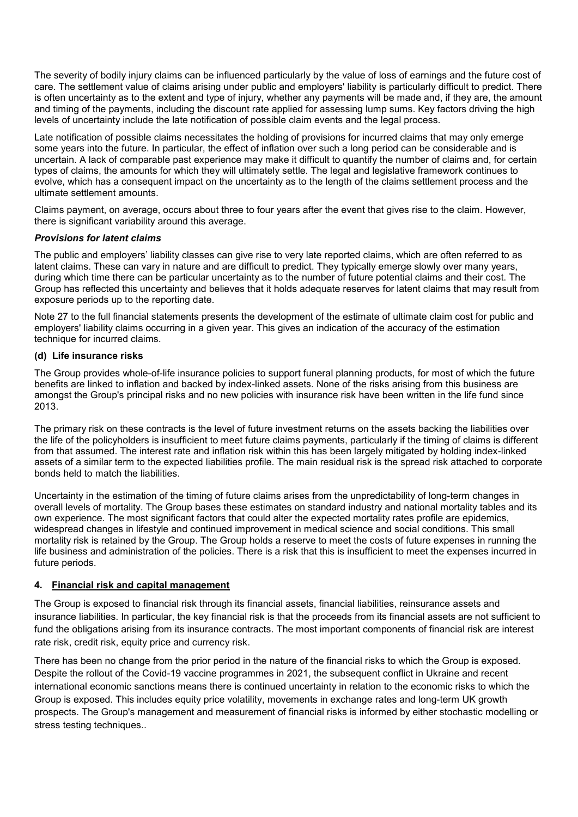The severity of bodily injury claims can be influenced particularly by the value of loss of earnings and the future cost of care. The settlement value of claims arising under public and employers' liability is particularly difficult to predict. There is often uncertainty as to the extent and type of injury, whether any payments will be made and, if they are, the amount and timing of the payments, including the discount rate applied for assessing lump sums. Key factors driving the high levels of uncertainty include the late notification of possible claim events and the legal process.

Late notification of possible claims necessitates the holding of provisions for incurred claims that may only emerge some years into the future. In particular, the effect of inflation over such a long period can be considerable and is uncertain. A lack of comparable past experience may make it difficult to quantify the number of claims and, for certain types of claims, the amounts for which they will ultimately settle. The legal and legislative framework continues to evolve, which has a consequent impact on the uncertainty as to the length of the claims settlement process and the ultimate settlement amounts.

Claims payment, on average, occurs about three to four years after the event that gives rise to the claim. However, there is significant variability around this average.

## *Provisions for latent claims*

The public and employers' liability classes can give rise to very late reported claims, which are often referred to as latent claims. These can vary in nature and are difficult to predict. They typically emerge slowly over many years, during which time there can be particular uncertainty as to the number of future potential claims and their cost. The Group has reflected this uncertainty and believes that it holds adequate reserves for latent claims that may result from exposure periods up to the reporting date.

Note 27 to the full financial statements presents the development of the estimate of ultimate claim cost for public and employers' liability claims occurring in a given year. This gives an indication of the accuracy of the estimation technique for incurred claims.

## **(d) Life insurance risks**

The Group provides whole-of-life insurance policies to support funeral planning products, for most of which the future benefits are linked to inflation and backed by index-linked assets. None of the risks arising from this business are amongst the Group's principal risks and no new policies with insurance risk have been written in the life fund since 2013.

The primary risk on these contracts is the level of future investment returns on the assets backing the liabilities over the life of the policyholders is insufficient to meet future claims payments, particularly if the timing of claims is different from that assumed. The interest rate and inflation risk within this has been largely mitigated by holding index-linked assets of a similar term to the expected liabilities profile. The main residual risk is the spread risk attached to corporate bonds held to match the liabilities.

Uncertainty in the estimation of the timing of future claims arises from the unpredictability of long-term changes in overall levels of mortality. The Group bases these estimates on standard industry and national mortality tables and its own experience. The most significant factors that could alter the expected mortality rates profile are epidemics, widespread changes in lifestyle and continued improvement in medical science and social conditions. This small mortality risk is retained by the Group. The Group holds a reserve to meet the costs of future expenses in running the life business and administration of the policies. There is a risk that this is insufficient to meet the expenses incurred in future periods.

### **4. Financial risk and capital management**

The Group is exposed to financial risk through its financial assets, financial liabilities, reinsurance assets and insurance liabilities. In particular, the key financial risk is that the proceeds from its financial assets are not sufficient to fund the obligations arising from its insurance contracts. The most important components of financial risk are interest rate risk, credit risk, equity price and currency risk.

There has been no change from the prior period in the nature of the financial risks to which the Group is exposed. Despite the rollout of the Covid-19 vaccine programmes in 2021, the subsequent conflict in Ukraine and recent international economic sanctions means there is continued uncertainty in relation to the economic risks to which the Group is exposed. This includes equity price volatility, movements in exchange rates and long-term UK growth prospects. The Group's management and measurement of financial risks is informed by either stochastic modelling or stress testing techniques..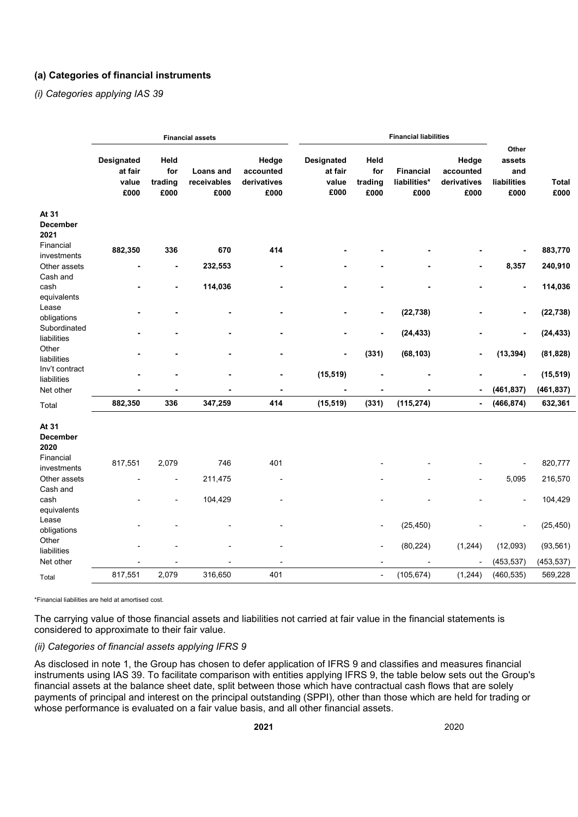## **(a) Categories of financial instruments**

*(i) Categories applying IAS 39*

|                                  |                                               |                                | <b>Financial assets</b>          |                                           | <b>Financial liabilities</b>                  |                                |                                          |                                           |                                               |               |
|----------------------------------|-----------------------------------------------|--------------------------------|----------------------------------|-------------------------------------------|-----------------------------------------------|--------------------------------|------------------------------------------|-------------------------------------------|-----------------------------------------------|---------------|
|                                  | <b>Designated</b><br>at fair<br>value<br>£000 | Held<br>for<br>trading<br>£000 | Loans and<br>receivables<br>£000 | Hedge<br>accounted<br>derivatives<br>£000 | <b>Designated</b><br>at fair<br>value<br>£000 | Held<br>for<br>trading<br>£000 | <b>Financial</b><br>liabilities*<br>£000 | Hedge<br>accounted<br>derivatives<br>£000 | Other<br>assets<br>and<br>liabilities<br>£000 | Total<br>£000 |
| At 31<br><b>December</b>         |                                               |                                |                                  |                                           |                                               |                                |                                          |                                           |                                               |               |
| 2021                             |                                               |                                |                                  |                                           |                                               |                                |                                          |                                           |                                               |               |
| Financial<br>investments         | 882,350                                       | 336                            | 670                              | 414                                       |                                               |                                |                                          |                                           |                                               | 883,770       |
| Other assets<br>Cash and         |                                               | ۰                              | 232,553                          | Ē,                                        |                                               |                                |                                          | ۰                                         | 8,357                                         | 240,910       |
| cash<br>equivalents              |                                               |                                | 114,036                          |                                           |                                               |                                |                                          |                                           | $\overline{a}$                                | 114,036       |
| Lease<br>obligations             |                                               |                                |                                  |                                           |                                               | $\blacksquare$                 | (22, 738)                                |                                           | $\overline{a}$                                | (22, 738)     |
| Subordinated<br>liabilities      |                                               |                                |                                  |                                           |                                               | ٠                              | (24, 433)                                |                                           | $\blacksquare$                                | (24, 433)     |
| Other<br>liabilities             |                                               |                                | ٠                                |                                           | $\blacksquare$                                | (331)                          | (68, 103)                                | ä,                                        | (13, 394)                                     | (81, 828)     |
| Inv't contract<br>liabilities    |                                               |                                |                                  |                                           | (15, 519)                                     |                                |                                          |                                           | $\overline{a}$                                | (15, 519)     |
| Net other                        |                                               |                                |                                  |                                           |                                               | $\blacksquare$                 |                                          | ٠                                         | (461, 837)                                    | (461, 837)    |
| Total                            | 882,350                                       | 336                            | 347,259                          | 414                                       | (15, 519)                                     | (331)                          | (115, 274)                               | ä,                                        | (466, 874)                                    | 632,361       |
| At 31<br><b>December</b><br>2020 |                                               |                                |                                  |                                           |                                               |                                |                                          |                                           |                                               |               |
| Financial<br>investments         | 817,551                                       | 2,079                          | 746                              | 401                                       |                                               |                                |                                          |                                           |                                               | 820,777       |
| Other assets<br>Cash and         |                                               |                                | 211,475                          |                                           |                                               |                                |                                          | $\overline{a}$                            | 5,095                                         | 216,570       |
| cash<br>equivalents              |                                               |                                | 104,429                          |                                           |                                               |                                |                                          |                                           |                                               | 104,429       |
| Lease<br>obligations             |                                               |                                |                                  |                                           |                                               |                                | (25, 450)                                |                                           |                                               | (25, 450)     |
| Other<br>liabilities             |                                               |                                |                                  |                                           |                                               | $\blacksquare$                 | (80, 224)                                | (1, 244)                                  | (12,093)                                      | (93, 561)     |
| Net other                        |                                               |                                |                                  | ٠                                         |                                               |                                | Ĭ.                                       | $\overline{\phantom{a}}$                  | (453, 537)                                    | (453, 537)    |
| Total                            | 817,551                                       | 2,079                          | 316,650                          | 401                                       |                                               | ÷,                             | (105, 674)                               | (1, 244)                                  | (460, 535)                                    | 569,228       |

\*Financial liabilities are held at amortised cost.

The carrying value of those financial assets and liabilities not carried at fair value in the financial statements is considered to approximate to their fair value.

### *(ii) Categories of financial assets applying IFRS 9*

As disclosed in note 1, the Group has chosen to defer application of IFRS 9 and classifies and measures financial instruments using IAS 39. To facilitate comparison with entities applying IFRS 9, the table below sets out the Group's financial assets at the balance sheet date, split between those which have contractual cash flows that are solely payments of principal and interest on the principal outstanding (SPPI), other than those which are held for trading or whose performance is evaluated on a fair value basis, and all other financial assets.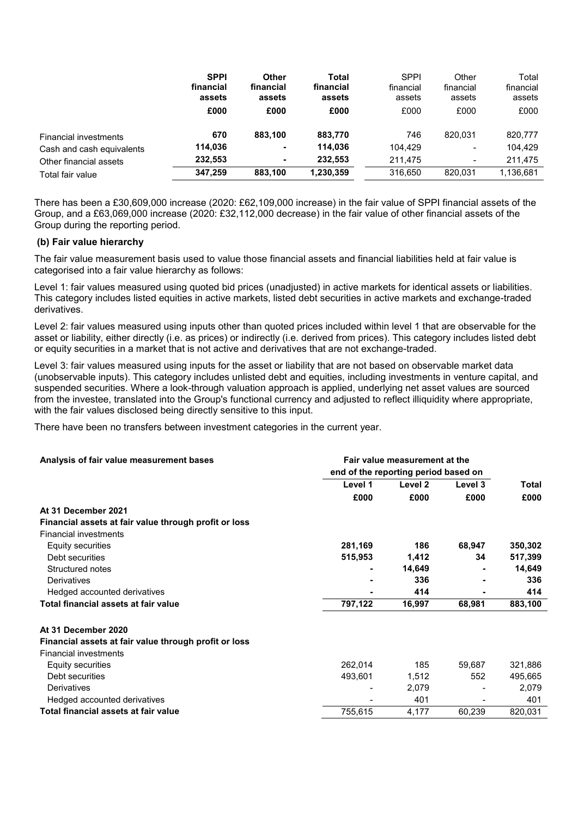|                              | <b>SPPI</b><br>financial<br>assets | <b>Other</b><br>financial<br>assets | <b>Total</b><br>financial<br>assets | <b>SPPI</b><br>financial<br>assets | Other<br>financial<br>assets | Total<br>financial<br>assets |
|------------------------------|------------------------------------|-------------------------------------|-------------------------------------|------------------------------------|------------------------------|------------------------------|
|                              | £000                               | £000                                | £000                                | £000                               | £000                         | £000                         |
| <b>Financial investments</b> | 670                                | 883.100                             | 883,770                             | 746                                | 820.031                      | 820,777                      |
| Cash and cash equivalents    | 114,036                            | ۰                                   | 114,036                             | 104,429                            | $\blacksquare$               | 104,429                      |
| Other financial assets       | 232,553                            | ۰                                   | 232.553                             | 211.475                            | $\overline{\phantom{a}}$     | 211,475                      |
| Total fair value             | 347.259                            | 883.100                             | 1,230,359                           | 316.650                            | 820.031                      | 1,136,681                    |

There has been a £30,609,000 increase (2020: £62,109,000 increase) in the fair value of SPPI financial assets of the Group, and a £63,069,000 increase (2020: £32,112,000 decrease) in the fair value of other financial assets of the Group during the reporting period.

## **(b) Fair value hierarchy**

The fair value measurement basis used to value those financial assets and financial liabilities held at fair value is categorised into a fair value hierarchy as follows:

Level 1: fair values measured using quoted bid prices (unadjusted) in active markets for identical assets or liabilities. This category includes listed equities in active markets, listed debt securities in active markets and exchange-traded derivatives.

Level 2: fair values measured using inputs other than quoted prices included within level 1 that are observable for the asset or liability, either directly (i.e. as prices) or indirectly (i.e. derived from prices). This category includes listed debt or equity securities in a market that is not active and derivatives that are not exchange-traded.

Level 3: fair values measured using inputs for the asset or liability that are not based on observable market data (unobservable inputs). This category includes unlisted debt and equities, including investments in venture capital, and suspended securities. Where a look-through valuation approach is applied, underlying net asset values are sourced from the investee, translated into the Group's functional currency and adjusted to reflect illiquidity where appropriate, with the fair values disclosed being directly sensitive to this input.

There have been no transfers between investment categories in the current year.

| Level 1<br>Level <sub>2</sub><br>Level 3<br>Total<br>£000<br>£000<br>£000<br>£000<br>At 31 December 2021<br>Financial assets at fair value through profit or loss<br><b>Financial investments</b><br>281,169<br>186<br>68,947<br>350,302<br><b>Equity securities</b><br>515,953<br>1,412<br>34<br>517,399<br>Debt securities<br>Structured notes<br>14,649<br>14,649<br>336<br>Derivatives<br>336<br>414<br>414<br>Hedged accounted derivatives<br>Total financial assets at fair value<br>797,122<br>68,981<br>883,100<br>16,997<br>At 31 December 2020<br>Financial assets at fair value through profit or loss<br><b>Financial investments</b><br>262,014<br>185<br>321,886<br>59,687<br><b>Equity securities</b><br>Debt securities<br>493,601<br>495,665<br>1,512<br>552 | Analysis of fair value measurement bases | Fair value measurement at the<br>end of the reporting period based on |       |  |       |
|-------------------------------------------------------------------------------------------------------------------------------------------------------------------------------------------------------------------------------------------------------------------------------------------------------------------------------------------------------------------------------------------------------------------------------------------------------------------------------------------------------------------------------------------------------------------------------------------------------------------------------------------------------------------------------------------------------------------------------------------------------------------------------|------------------------------------------|-----------------------------------------------------------------------|-------|--|-------|
|                                                                                                                                                                                                                                                                                                                                                                                                                                                                                                                                                                                                                                                                                                                                                                               |                                          |                                                                       |       |  |       |
|                                                                                                                                                                                                                                                                                                                                                                                                                                                                                                                                                                                                                                                                                                                                                                               |                                          |                                                                       |       |  |       |
|                                                                                                                                                                                                                                                                                                                                                                                                                                                                                                                                                                                                                                                                                                                                                                               |                                          |                                                                       |       |  |       |
|                                                                                                                                                                                                                                                                                                                                                                                                                                                                                                                                                                                                                                                                                                                                                                               |                                          |                                                                       |       |  |       |
|                                                                                                                                                                                                                                                                                                                                                                                                                                                                                                                                                                                                                                                                                                                                                                               |                                          |                                                                       |       |  |       |
|                                                                                                                                                                                                                                                                                                                                                                                                                                                                                                                                                                                                                                                                                                                                                                               |                                          |                                                                       |       |  |       |
|                                                                                                                                                                                                                                                                                                                                                                                                                                                                                                                                                                                                                                                                                                                                                                               |                                          |                                                                       |       |  |       |
|                                                                                                                                                                                                                                                                                                                                                                                                                                                                                                                                                                                                                                                                                                                                                                               |                                          |                                                                       |       |  |       |
|                                                                                                                                                                                                                                                                                                                                                                                                                                                                                                                                                                                                                                                                                                                                                                               |                                          |                                                                       |       |  |       |
|                                                                                                                                                                                                                                                                                                                                                                                                                                                                                                                                                                                                                                                                                                                                                                               |                                          |                                                                       |       |  |       |
|                                                                                                                                                                                                                                                                                                                                                                                                                                                                                                                                                                                                                                                                                                                                                                               |                                          |                                                                       |       |  |       |
|                                                                                                                                                                                                                                                                                                                                                                                                                                                                                                                                                                                                                                                                                                                                                                               |                                          |                                                                       |       |  |       |
|                                                                                                                                                                                                                                                                                                                                                                                                                                                                                                                                                                                                                                                                                                                                                                               |                                          |                                                                       |       |  |       |
|                                                                                                                                                                                                                                                                                                                                                                                                                                                                                                                                                                                                                                                                                                                                                                               |                                          |                                                                       |       |  |       |
|                                                                                                                                                                                                                                                                                                                                                                                                                                                                                                                                                                                                                                                                                                                                                                               |                                          |                                                                       |       |  |       |
|                                                                                                                                                                                                                                                                                                                                                                                                                                                                                                                                                                                                                                                                                                                                                                               |                                          |                                                                       |       |  |       |
|                                                                                                                                                                                                                                                                                                                                                                                                                                                                                                                                                                                                                                                                                                                                                                               | Derivatives                              |                                                                       | 2,079 |  | 2,079 |
| Hedged accounted derivatives<br>401<br>401                                                                                                                                                                                                                                                                                                                                                                                                                                                                                                                                                                                                                                                                                                                                    |                                          |                                                                       |       |  |       |
| Total financial assets at fair value<br>755,615<br>60,239<br>820,031<br>4,177                                                                                                                                                                                                                                                                                                                                                                                                                                                                                                                                                                                                                                                                                                 |                                          |                                                                       |       |  |       |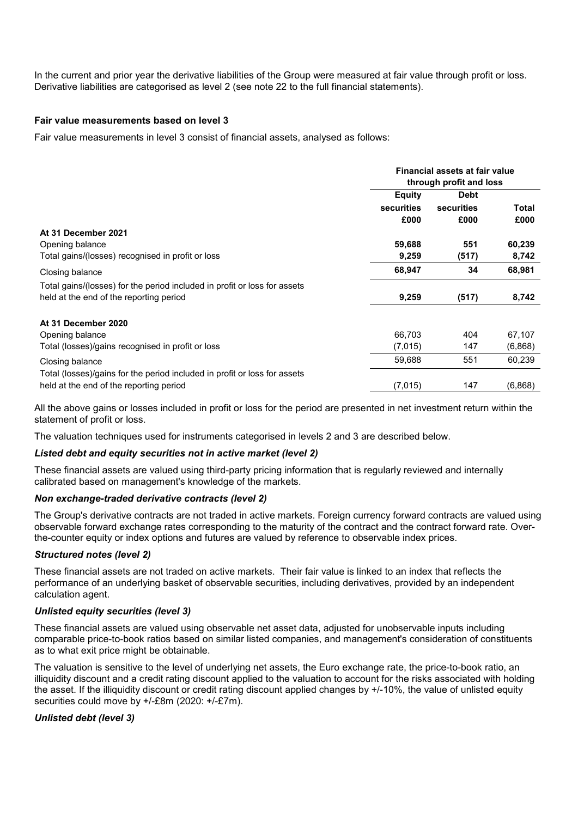In the current and prior year the derivative liabilities of the Group were measured at fair value through profit or loss. Derivative liabilities are categorised as level 2 (see note 22 to the full financial statements).

## **Fair value measurements based on level 3**

Fair value measurements in level 3 consist of financial assets, analysed as follows:

|                                                                           |                   | Financial assets at fair value<br>through profit and loss |              |
|---------------------------------------------------------------------------|-------------------|-----------------------------------------------------------|--------------|
|                                                                           | <b>Equity</b>     | <b>Debt</b>                                               |              |
|                                                                           | <b>securities</b> | securities                                                | <b>Total</b> |
|                                                                           | £000              | £000                                                      | £000         |
| At 31 December 2021                                                       |                   |                                                           |              |
| Opening balance                                                           | 59,688            | 551                                                       | 60,239       |
| Total gains/(losses) recognised in profit or loss                         | 9,259             | (517)                                                     | 8,742        |
| Closing balance                                                           | 68,947            | 34                                                        | 68,981       |
| Total gains/(losses) for the period included in profit or loss for assets |                   |                                                           |              |
| held at the end of the reporting period                                   | 9,259             | (517)                                                     | 8,742        |
| At 31 December 2020                                                       |                   |                                                           |              |
| Opening balance                                                           | 66,703            | 404                                                       | 67,107       |
| Total (losses)/gains recognised in profit or loss                         | (7,015)           | 147                                                       | (6,868)      |
| Closing balance                                                           | 59,688            | 551                                                       | 60,239       |
| Total (losses)/gains for the period included in profit or loss for assets |                   |                                                           |              |
| held at the end of the reporting period                                   | (7,015)           | 147                                                       | (6,868)      |

All the above gains or losses included in profit or loss for the period are presented in net investment return within the statement of profit or loss.

The valuation techniques used for instruments categorised in levels 2 and 3 are described below.

## *Listed debt and equity securities not in active market (level 2)*

These financial assets are valued using third-party pricing information that is regularly reviewed and internally calibrated based on management's knowledge of the markets.

### *Non exchange-traded derivative contracts (level 2)*

The Group's derivative contracts are not traded in active markets. Foreign currency forward contracts are valued using observable forward exchange rates corresponding to the maturity of the contract and the contract forward rate. Overthe-counter equity or index options and futures are valued by reference to observable index prices.

### *Structured notes (level 2)*

These financial assets are not traded on active markets. Their fair value is linked to an index that reflects the performance of an underlying basket of observable securities, including derivatives, provided by an independent calculation agent.

## *Unlisted equity securities (level 3)*

These financial assets are valued using observable net asset data, adjusted for unobservable inputs including comparable price-to-book ratios based on similar listed companies, and management's consideration of constituents as to what exit price might be obtainable.

The valuation is sensitive to the level of underlying net assets, the Euro exchange rate, the price-to-book ratio, an illiquidity discount and a credit rating discount applied to the valuation to account for the risks associated with holding the asset. If the illiquidity discount or credit rating discount applied changes by +/-10%, the value of unlisted equity securities could move by +/-£8m (2020: +/-£7m).

## *Unlisted debt (level 3)*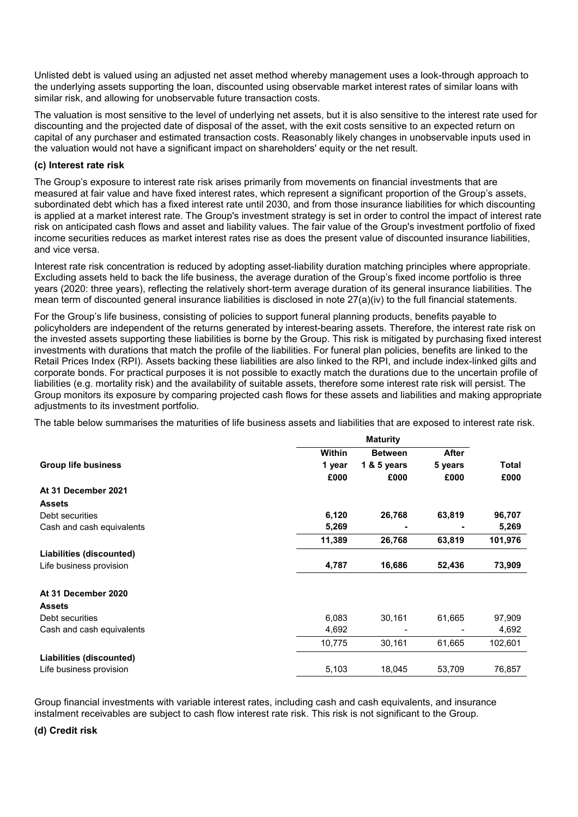Unlisted debt is valued using an adjusted net asset method whereby management uses a look-through approach to the underlying assets supporting the loan, discounted using observable market interest rates of similar loans with similar risk, and allowing for unobservable future transaction costs.

The valuation is most sensitive to the level of underlying net assets, but it is also sensitive to the interest rate used for discounting and the projected date of disposal of the asset, with the exit costs sensitive to an expected return on capital of any purchaser and estimated transaction costs. Reasonably likely changes in unobservable inputs used in the valuation would not have a significant impact on shareholders' equity or the net result.

### **(c) Interest rate risk**

The Group's exposure to interest rate risk arises primarily from movements on financial investments that are measured at fair value and have fixed interest rates, which represent a significant proportion of the Group's assets, subordinated debt which has a fixed interest rate until 2030, and from those insurance liabilities for which discounting is applied at a market interest rate. The Group's investment strategy is set in order to control the impact of interest rate risk on anticipated cash flows and asset and liability values. The fair value of the Group's investment portfolio of fixed income securities reduces as market interest rates rise as does the present value of discounted insurance liabilities, and vice versa.

Interest rate risk concentration is reduced by adopting asset-liability duration matching principles where appropriate. Excluding assets held to back the life business, the average duration of the Group's fixed income portfolio is three years (2020: three years), reflecting the relatively short-term average duration of its general insurance liabilities. The mean term of discounted general insurance liabilities is disclosed in note 27(a)(iv) to the full financial statements.

For the Group's life business, consisting of policies to support funeral planning products, benefits payable to policyholders are independent of the returns generated by interest-bearing assets. Therefore, the interest rate risk on the invested assets supporting these liabilities is borne by the Group. This risk is mitigated by purchasing fixed interest investments with durations that match the profile of the liabilities. For funeral plan policies, benefits are linked to the Retail Prices Index (RPI). Assets backing these liabilities are also linked to the RPI, and include index-linked gilts and corporate bonds. For practical purposes it is not possible to exactly match the durations due to the uncertain profile of liabilities (e.g. mortality risk) and the availability of suitable assets, therefore some interest rate risk will persist. The Group monitors its exposure by comparing projected cash flows for these assets and liabilities and making appropriate adiustments to its investment portfolio.

The table below summarises the maturities of life business assets and liabilities that are exposed to interest rate risk.

|                            | <b>Maturity</b> |                |              |         |
|----------------------------|-----------------|----------------|--------------|---------|
|                            | Within          | <b>Between</b> | <b>After</b> |         |
| <b>Group life business</b> | 1 year          | 1 & 5 years    | 5 years      | Total   |
|                            | £000            | £000           | £000         | £000    |
| At 31 December 2021        |                 |                |              |         |
| <b>Assets</b>              |                 |                |              |         |
| Debt securities            | 6,120           | 26,768         | 63,819       | 96,707  |
| Cash and cash equivalents  | 5,269           | ۰              |              | 5,269   |
|                            | 11,389          | 26,768         | 63,819       | 101,976 |
| Liabilities (discounted)   |                 |                |              |         |
| Life business provision    | 4,787           | 16,686         | 52,436       | 73,909  |
| At 31 December 2020        |                 |                |              |         |
| <b>Assets</b>              |                 |                |              |         |
| Debt securities            | 6,083           | 30,161         | 61,665       | 97,909  |
| Cash and cash equivalents  | 4,692           |                |              | 4,692   |
|                            | 10,775          | 30,161         | 61,665       | 102,601 |
| Liabilities (discounted)   |                 |                |              |         |
| Life business provision    | 5,103           | 18,045         | 53,709       | 76,857  |

Group financial investments with variable interest rates, including cash and cash equivalents, and insurance instalment receivables are subject to cash flow interest rate risk. This risk is not significant to the Group.

### **(d) Credit risk**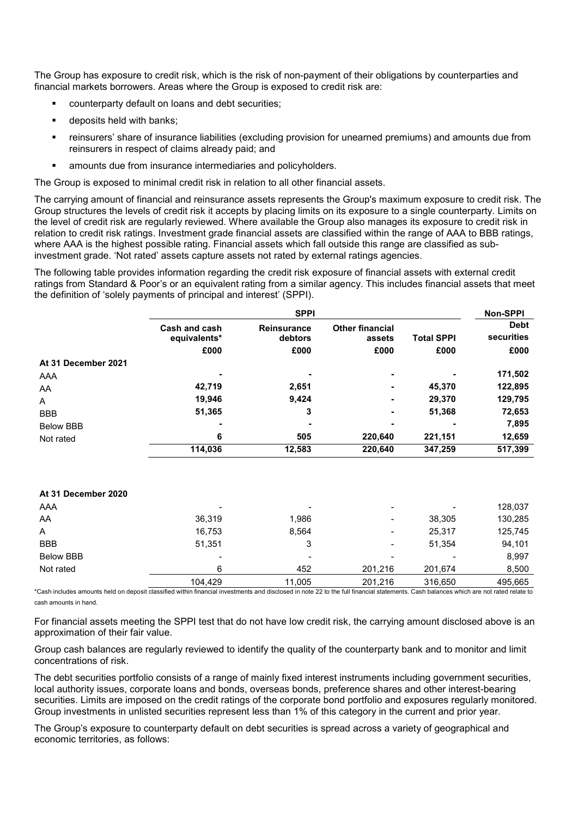The Group has exposure to credit risk, which is the risk of non-payment of their obligations by counterparties and financial markets borrowers. Areas where the Group is exposed to credit risk are:

- counterparty default on loans and debt securities;
- deposits held with banks;
- reinsurers' share of insurance liabilities (excluding provision for unearned premiums) and amounts due from reinsurers in respect of claims already paid; and
- amounts due from insurance intermediaries and policyholders.

The Group is exposed to minimal credit risk in relation to all other financial assets.

The carrying amount of financial and reinsurance assets represents the Group's maximum exposure to credit risk. The Group structures the levels of credit risk it accepts by placing limits on its exposure to a single counterparty. Limits on the level of credit risk are regularly reviewed. Where available the Group also manages its exposure to credit risk in relation to credit risk ratings. Investment grade financial assets are classified within the range of AAA to BBB ratings, where AAA is the highest possible rating. Financial assets which fall outside this range are classified as subinvestment grade. 'Not rated' assets capture assets not rated by external ratings agencies.

The following table provides information regarding the credit risk exposure of financial assets with external credit ratings from Standard & Poor's or an equivalent rating from a similar agency. This includes financial assets that meet the definition of 'solely payments of principal and interest' (SPPI).

|                     |                               | <b>SPPI</b>            |                                  |                   | Non-SPPI                  |
|---------------------|-------------------------------|------------------------|----------------------------------|-------------------|---------------------------|
|                     | Cash and cash<br>equivalents* | Reinsurance<br>debtors | <b>Other financial</b><br>assets | <b>Total SPPI</b> | <b>Debt</b><br>securities |
|                     | £000                          | £000                   | £000                             | £000              | £000                      |
| At 31 December 2021 |                               |                        |                                  |                   |                           |
| AAA                 |                               |                        |                                  |                   | 171,502                   |
| AA                  | 42,719                        | 2,651                  |                                  | 45,370            | 122,895                   |
| A                   | 19,946                        | 9,424                  |                                  | 29,370            | 129,795                   |
| <b>BBB</b>          | 51,365                        | 3                      |                                  | 51,368            | 72,653                    |
| <b>Below BBB</b>    |                               |                        |                                  |                   | 7,895                     |
| Not rated           | 6                             | 505                    | 220,640                          | 221,151           | 12,659                    |
|                     | 114,036                       | 12,583                 | 220,640                          | 347,259           | 517,399                   |
| At 31 December 2020 |                               |                        |                                  |                   |                           |
| AAA                 |                               |                        |                                  |                   | 128,037                   |
| AA                  | 36,319                        | 1,986                  |                                  | 38,305            | 130,285                   |
| Α                   | 16,753                        | 8,564                  |                                  | 25,317            | 125,745                   |
| <b>BBB</b>          | 51,351                        | 3                      |                                  | 51,354            | 94,101                    |
| <b>Below BBB</b>    |                               |                        |                                  |                   | 8,997                     |
| Not rated           | 6                             | 452                    | 201,216                          | 201,674           | 8,500                     |
|                     | 104,429                       | 11,005                 | 201,216                          | 316,650           | 495,665                   |

\*Cash includes amounts held on deposit classified within financial investments and disclosed in note 22 to the full financial statements. Cash balances which are not rated relate to cash amounts in hand.

For financial assets meeting the SPPI test that do not have low credit risk, the carrying amount disclosed above is an approximation of their fair value.

Group cash balances are regularly reviewed to identify the quality of the counterparty bank and to monitor and limit concentrations of risk.

The debt securities portfolio consists of a range of mainly fixed interest instruments including government securities, local authority issues, corporate loans and bonds, overseas bonds, preference shares and other interest-bearing securities. Limits are imposed on the credit ratings of the corporate bond portfolio and exposures regularly monitored. Group investments in unlisted securities represent less than 1% of this category in the current and prior year.

The Group's exposure to counterparty default on debt securities is spread across a variety of geographical and economic territories, as follows: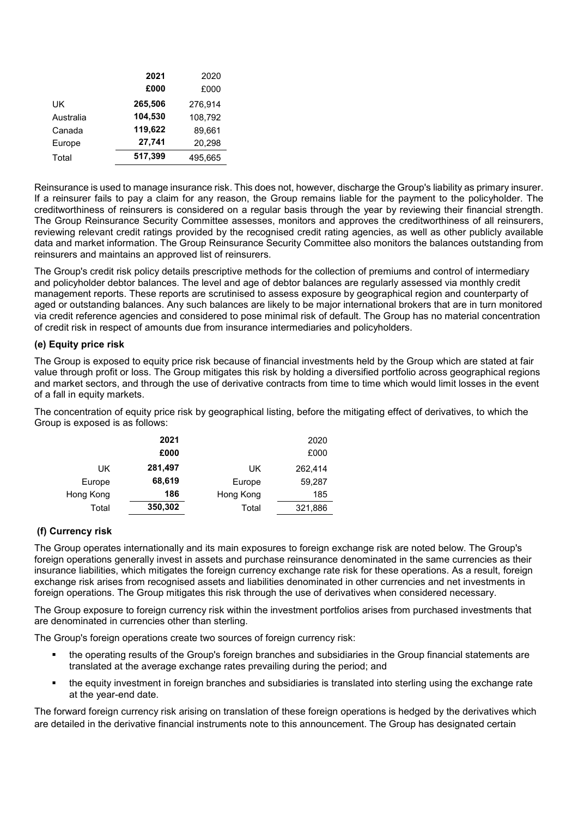|           | 2021    | 2020    |
|-----------|---------|---------|
|           | £000    | £000    |
| UK        | 265,506 | 276.914 |
| Australia | 104,530 | 108,792 |
| Canada    | 119,622 | 89.661  |
| Europe    | 27,741  | 20,298  |
| Total     | 517,399 | 495,665 |

Reinsurance is used to manage insurance risk. This does not, however, discharge the Group's liability as primary insurer. If a reinsurer fails to pay a claim for any reason, the Group remains liable for the payment to the policyholder. The creditworthiness of reinsurers is considered on a regular basis through the year by reviewing their financial strength. The Group Reinsurance Security Committee assesses, monitors and approves the creditworthiness of all reinsurers, reviewing relevant credit ratings provided by the recognised credit rating agencies, as well as other publicly available data and market information. The Group Reinsurance Security Committee also monitors the balances outstanding from reinsurers and maintains an approved list of reinsurers.

The Group's credit risk policy details prescriptive methods for the collection of premiums and control of intermediary and policyholder debtor balances. The level and age of debtor balances are regularly assessed via monthly credit management reports. These reports are scrutinised to assess exposure by geographical region and counterparty of aged or outstanding balances. Any such balances are likely to be major international brokers that are in turn monitored via credit reference agencies and considered to pose minimal risk of default. The Group has no material concentration of credit risk in respect of amounts due from insurance intermediaries and policyholders.

## **(e) Equity price risk**

The Group is exposed to equity price risk because of financial investments held by the Group which are stated at fair value through profit or loss. The Group mitigates this risk by holding a diversified portfolio across geographical regions and market sectors, and through the use of derivative contracts from time to time which would limit losses in the event of a fall in equity markets.

The concentration of equity price risk by geographical listing, before the mitigating effect of derivatives, to which the Group is exposed is as follows:

|           | 2021    |           | 2020    |
|-----------|---------|-----------|---------|
|           | £000    |           | £000    |
| UK        | 281,497 | UK        | 262,414 |
| Europe    | 68,619  | Europe    | 59,287  |
| Hong Kong | 186     | Hong Kong | 185     |
| Total     | 350,302 | Total     | 321,886 |

## **(f) Currency risk**

The Group operates internationally and its main exposures to foreign exchange risk are noted below. The Group's foreign operations generally invest in assets and purchase reinsurance denominated in the same currencies as their insurance liabilities, which mitigates the foreign currency exchange rate risk for these operations. As a result, foreign exchange risk arises from recognised assets and liabilities denominated in other currencies and net investments in foreign operations. The Group mitigates this risk through the use of derivatives when considered necessary.

The Group exposure to foreign currency risk within the investment portfolios arises from purchased investments that are denominated in currencies other than sterling.

The Group's foreign operations create two sources of foreign currency risk:

- the operating results of the Group's foreign branches and subsidiaries in the Group financial statements are translated at the average exchange rates prevailing during the period; and
- the equity investment in foreign branches and subsidiaries is translated into sterling using the exchange rate at the year-end date.

The forward foreign currency risk arising on translation of these foreign operations is hedged by the derivatives which are detailed in the derivative financial instruments note to this announcement. The Group has designated certain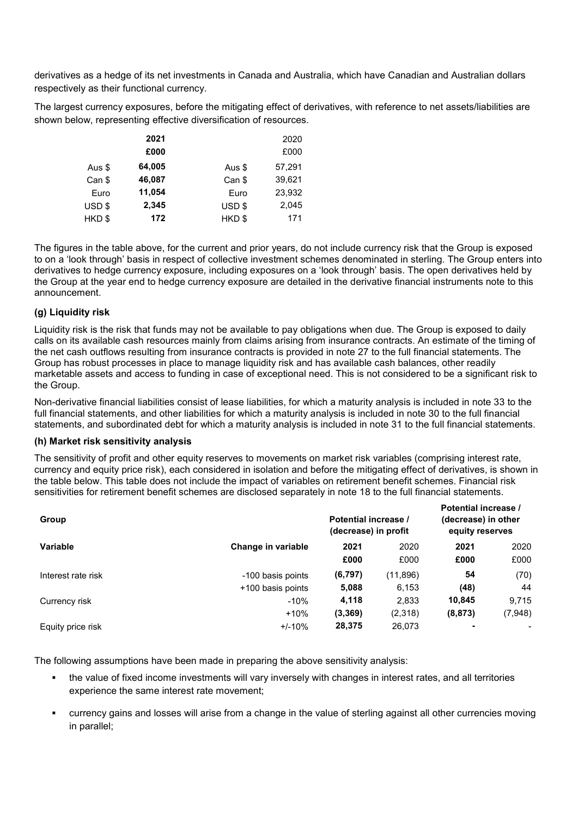derivatives as a hedge of its net investments in Canada and Australia, which have Canadian and Australian dollars respectively as their functional currency.

The largest currency exposures, before the mitigating effect of derivatives, with reference to net assets/liabilities are shown below, representing effective diversification of resources.

|                   | 2021   |        | 2020   |
|-------------------|--------|--------|--------|
|                   | £000   |        | £000   |
| Aus \$            | 64,005 | Aus \$ | 57,291 |
| Can \$            | 46,087 | Can \$ | 39,621 |
| Euro              | 11,054 | Euro   | 23,932 |
| USD <sub>\$</sub> | 2,345  | USD \$ | 2,045  |
| HKD\$             | 172    | HKD\$  | 171    |

The figures in the table above, for the current and prior years, do not include currency risk that the Group is exposed to on a 'look through' basis in respect of collective investment schemes denominated in sterling. The Group enters into derivatives to hedge currency exposure, including exposures on a 'look through' basis. The open derivatives held by the Group at the year end to hedge currency exposure are detailed in the derivative financial instruments note to this announcement.

## **(g) Liquidity risk**

Liquidity risk is the risk that funds may not be available to pay obligations when due. The Group is exposed to daily calls on its available cash resources mainly from claims arising from insurance contracts. An estimate of the timing of the net cash outflows resulting from insurance contracts is provided in note 27 to the full financial statements. The Group has robust processes in place to manage liquidity risk and has available cash balances, other readily marketable assets and access to funding in case of exceptional need. This is not considered to be a significant risk to the Group.

Non-derivative financial liabilities consist of lease liabilities, for which a maturity analysis is included in note 33 to the full financial statements, and other liabilities for which a maturity analysis is included in note 30 to the full financial statements, and subordinated debt for which a maturity analysis is included in note 31 to the full financial statements.

## **(h) Market risk sensitivity analysis**

The sensitivity of profit and other equity reserves to movements on market risk variables (comprising interest rate, currency and equity price risk), each considered in isolation and before the mitigating effect of derivatives, is shown in the table below. This table does not include the impact of variables on retirement benefit schemes. Financial risk sensitivities for retirement benefit schemes are disclosed separately in note 18 to the full financial statements.

| Group              |                    | Potential increase /<br>(decrease) in profit |          | Potential increase /<br>(decrease) in other<br>equity reserves |         |
|--------------------|--------------------|----------------------------------------------|----------|----------------------------------------------------------------|---------|
| <b>Variable</b>    | Change in variable | 2021                                         | 2020     | 2021                                                           | 2020    |
|                    |                    | £000                                         | £000     | £000                                                           | £000    |
| Interest rate risk | -100 basis points  | (6, 797)                                     | (11,896) | 54                                                             | (70)    |
|                    | +100 basis points  | 5,088                                        | 6,153    | (48)                                                           | 44      |
| Currency risk      | $-10%$             | 4,118                                        | 2,833    | 10,845                                                         | 9,715   |
|                    | $+10%$             | (3,369)                                      | (2,318)  | (8, 873)                                                       | (7,948) |
| Equity price risk  | $+/-10%$           | 28,375                                       | 26,073   |                                                                |         |

The following assumptions have been made in preparing the above sensitivity analysis:

- the value of fixed income investments will vary inversely with changes in interest rates, and all territories experience the same interest rate movement;
- currency gains and losses will arise from a change in the value of sterling against all other currencies moving in parallel;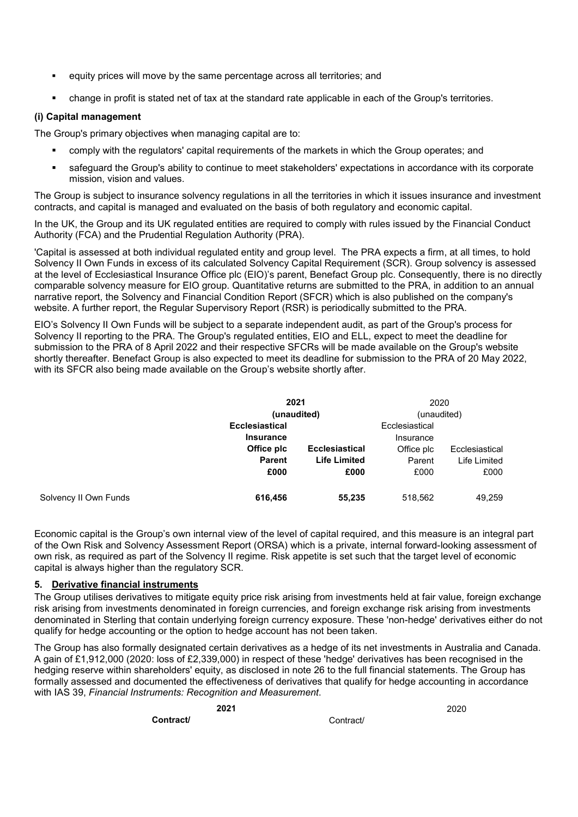- equity prices will move by the same percentage across all territories; and
- change in profit is stated net of tax at the standard rate applicable in each of the Group's territories.

## **(i) Capital management**

The Group's primary objectives when managing capital are to:

- comply with the regulators' capital requirements of the markets in which the Group operates; and
- safeguard the Group's ability to continue to meet stakeholders' expectations in accordance with its corporate mission, vision and values.

The Group is subject to insurance solvency regulations in all the territories in which it issues insurance and investment contracts, and capital is managed and evaluated on the basis of both regulatory and economic capital.

In the UK, the Group and its UK regulated entities are required to comply with rules issued by the Financial Conduct Authority (FCA) and the Prudential Regulation Authority (PRA).

'Capital is assessed at both individual regulated entity and group level. The PRA expects a firm, at all times, to hold Solvency II Own Funds in excess of its calculated Solvency Capital Requirement (SCR). Group solvency is assessed at the level of Ecclesiastical Insurance Office plc (EIO)'s parent, Benefact Group plc. Consequently, there is no directly comparable solvency measure for EIO group. Quantitative returns are submitted to the PRA, in addition to an annual narrative report, the Solvency and Financial Condition Report (SFCR) which is also published on the company's website. A further report, the Regular Supervisory Report (RSR) is periodically submitted to the PRA.

EIO's Solvency II Own Funds will be subject to a separate independent audit, as part of the Group's process for Solvency II reporting to the PRA. The Group's regulated entities, EIO and ELL, expect to meet the deadline for submission to the PRA of 8 April 2022 and their respective SFCRs will be made available on the Group's website shortly thereafter. Benefact Group is also expected to meet its deadline for submission to the PRA of 20 May 2022, with its SFCR also being made available on the Group's website shortly after.

|                       | 2021                  |                       | 2020           |                |
|-----------------------|-----------------------|-----------------------|----------------|----------------|
|                       | (unaudited)           |                       | (unaudited)    |                |
|                       | <b>Ecclesiastical</b> |                       | Ecclesiastical |                |
|                       | <b>Insurance</b>      |                       | Insurance      |                |
|                       | Office plc            | <b>Ecclesiastical</b> | Office plc     | Ecclesiastical |
|                       | <b>Parent</b>         | <b>Life Limited</b>   | Parent         | Life Limited   |
|                       | £000                  | £000                  | £000           | £000           |
| Solvency II Own Funds | 616,456               | 55,235                | 518,562        | 49,259         |

Economic capital is the Group's own internal view of the level of capital required, and this measure is an integral part of the Own Risk and Solvency Assessment Report (ORSA) which is a private, internal forward-looking assessment of own risk, as required as part of the Solvency II regime. Risk appetite is set such that the target level of economic capital is always higher than the regulatory SCR.

## **5. Derivative financial instruments**

The Group utilises derivatives to mitigate equity price risk arising from investments held at fair value, foreign exchange risk arising from investments denominated in foreign currencies, and foreign exchange risk arising from investments denominated in Sterling that contain underlying foreign currency exposure. These 'non-hedge' derivatives either do not qualify for hedge accounting or the option to hedge account has not been taken.

The Group has also formally designated certain derivatives as a hedge of its net investments in Australia and Canada. A gain of £1,912,000 (2020: loss of £2,339,000) in respect of these 'hedge' derivatives has been recognised in the hedging reserve within shareholders' equity, as disclosed in note 26 to the full financial statements. The Group has formally assessed and documented the effectiveness of derivatives that qualify for hedge accounting in accordance with IAS 39, *Financial Instruments: Recognition and Measurement*.

**Contract/** Contract/

**2021** 2020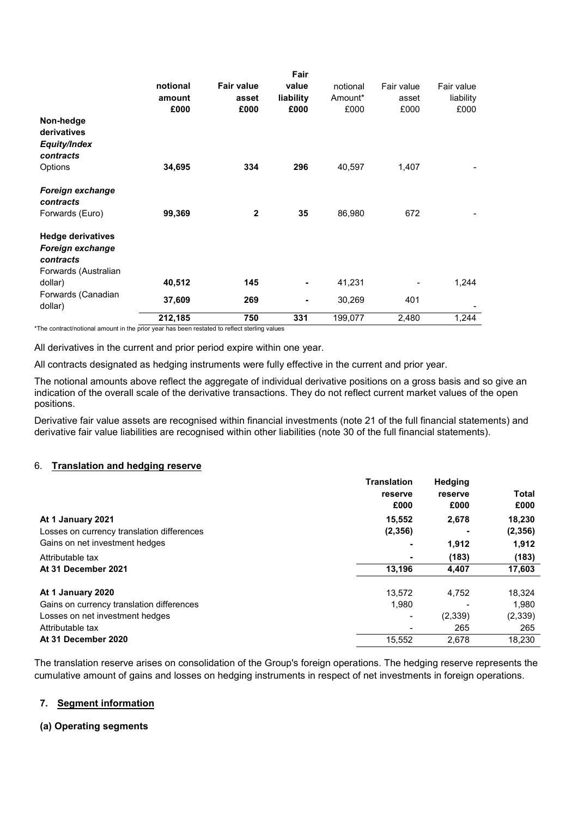|                                                                                   | notional<br>amount | <b>Fair value</b><br>asset | Fair<br>value<br>liability | notional<br>Amount* | Fair value<br>asset | Fair value<br>liability |
|-----------------------------------------------------------------------------------|--------------------|----------------------------|----------------------------|---------------------|---------------------|-------------------------|
| Non-hedge<br>derivatives<br>Equity/Index<br>contracts                             | £000               | £000                       | £000                       | £000                | £000                | £000                    |
| Options                                                                           | 34,695             | 334                        | 296                        | 40,597              | 1,407               |                         |
| <b>Foreign exchange</b><br>contracts<br>Forwards (Euro)                           | 99,369             | $\mathbf{2}$               | 35                         | 86,980              | 672                 |                         |
| <b>Hedge derivatives</b><br>Foreign exchange<br>contracts<br>Forwards (Australian |                    |                            |                            |                     |                     |                         |
| dollar)                                                                           | 40,512             | 145                        | ۰                          | 41,231              |                     | 1,244                   |
| Forwards (Canadian<br>dollar)                                                     | 37,609             | 269                        | ٠                          | 30,269              | 401                 |                         |
|                                                                                   | 212,185            | 750                        | 331                        | 199,077             | 2,480               | 1,244                   |

\*The contract/notional amount in the prior year has been restated to reflect sterling values

All derivatives in the current and prior period expire within one year.

All contracts designated as hedging instruments were fully effective in the current and prior year.

The notional amounts above reflect the aggregate of individual derivative positions on a gross basis and so give an indication of the overall scale of the derivative transactions. They do not reflect current market values of the open positions.

Derivative fair value assets are recognised within financial investments (note 21 of the full financial statements) and derivative fair value liabilities are recognised within other liabilities (note 30 of the full financial statements).

#### 6. **Translation and hedging reserve**

| <b>Translation</b> | <b>Hedging</b> |              |
|--------------------|----------------|--------------|
| reserve            | reserve        | <b>Total</b> |
| £000               | £000           | £000         |
| 15,552             | 2,678          | 18,230       |
| (2,356)            |                | (2,356)      |
|                    | 1,912          | 1,912        |
|                    | (183)          | (183)        |
| 13,196             | 4,407          | 17,603       |
| 13.572             | 4.752          | 18,324       |
| 1,980              |                | 1.980        |
|                    | (2,339)        | (2, 339)     |
|                    | 265            | 265          |
| 15,552             | 2,678          | 18,230       |
|                    |                |              |

The translation reserve arises on consolidation of the Group's foreign operations. The hedging reserve represents the cumulative amount of gains and losses on hedging instruments in respect of net investments in foreign operations.

### **7. Segment information**

### **(a) Operating segments**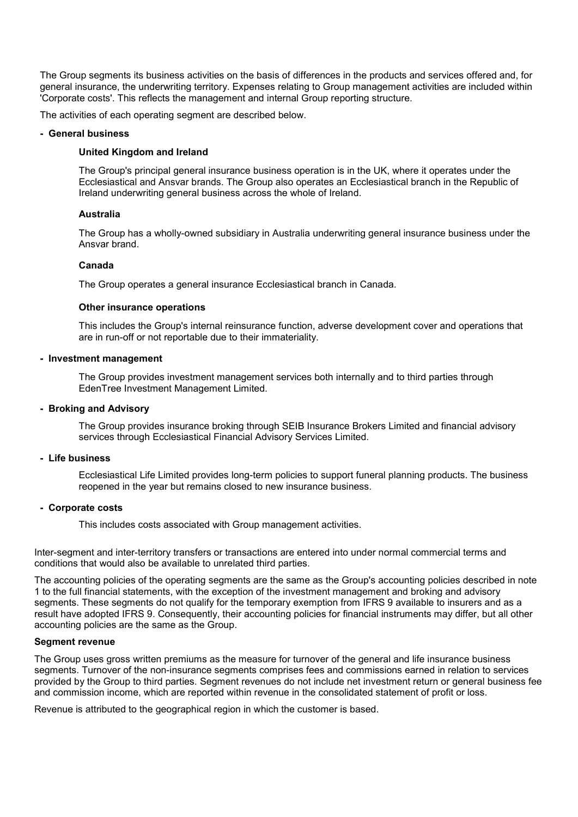The Group segments its business activities on the basis of differences in the products and services offered and, for general insurance, the underwriting territory. Expenses relating to Group management activities are included within 'Corporate costs'. This reflects the management and internal Group reporting structure.

The activities of each operating segment are described below.

#### **- General business**

### **United Kingdom and Ireland**

The Group's principal general insurance business operation is in the UK, where it operates under the Ecclesiastical and Ansvar brands. The Group also operates an Ecclesiastical branch in the Republic of Ireland underwriting general business across the whole of Ireland.

## **Australia**

The Group has a wholly-owned subsidiary in Australia underwriting general insurance business under the Ansvar brand.

## **Canada**

The Group operates a general insurance Ecclesiastical branch in Canada.

### **Other insurance operations**

This includes the Group's internal reinsurance function, adverse development cover and operations that are in run-off or not reportable due to their immateriality.

### **- Investment management**

The Group provides investment management services both internally and to third parties through EdenTree Investment Management Limited.

### **- Broking and Advisory**

The Group provides insurance broking through SEIB Insurance Brokers Limited and financial advisory services through Ecclesiastical Financial Advisory Services Limited.

### **- Life business**

Ecclesiastical Life Limited provides long-term policies to support funeral planning products. The business reopened in the year but remains closed to new insurance business.

### **- Corporate costs**

This includes costs associated with Group management activities.

Inter-segment and inter-territory transfers or transactions are entered into under normal commercial terms and conditions that would also be available to unrelated third parties.

The accounting policies of the operating segments are the same as the Group's accounting policies described in note 1 to the full financial statements, with the exception of the investment management and broking and advisory segments. These segments do not qualify for the temporary exemption from IFRS 9 available to insurers and as a result have adopted IFRS 9. Consequently, their accounting policies for financial instruments may differ, but all other accounting policies are the same as the Group.

### **Segment revenue**

The Group uses gross written premiums as the measure for turnover of the general and life insurance business segments. Turnover of the non-insurance segments comprises fees and commissions earned in relation to services provided by the Group to third parties. Segment revenues do not include net investment return or general business fee and commission income, which are reported within revenue in the consolidated statement of profit or loss.

Revenue is attributed to the geographical region in which the customer is based.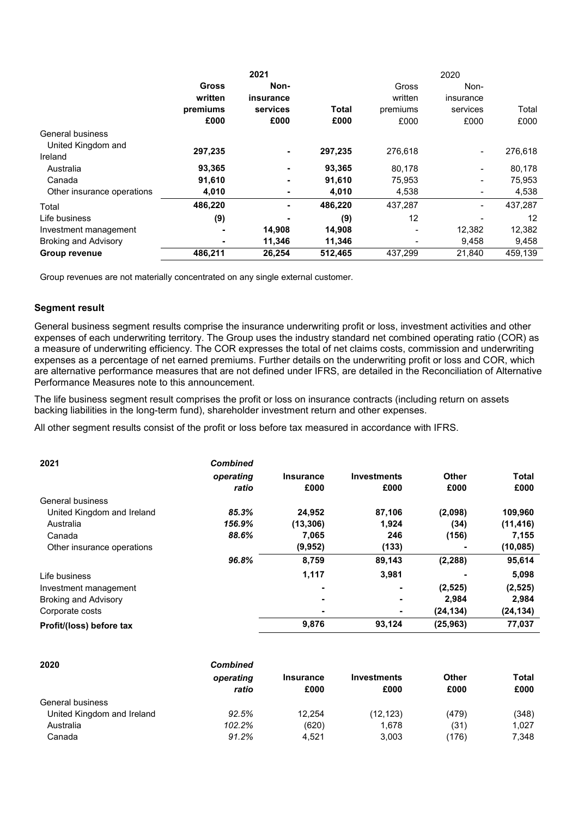|                             |              | 2021      |              | 2020     |                |         |  |
|-----------------------------|--------------|-----------|--------------|----------|----------------|---------|--|
|                             | <b>Gross</b> | Non-      |              | Gross    | Non-           |         |  |
|                             | written      | insurance |              | written  | insurance      |         |  |
|                             | premiums     | services  | <b>Total</b> | premiums | services       | Total   |  |
|                             | £000         | £000      | £000         | £000     | £000           | £000    |  |
| General business            |              |           |              |          |                |         |  |
| United Kingdom and          |              |           |              |          |                |         |  |
| Ireland                     | 297,235      | ٠         | 297,235      | 276.618  | $\blacksquare$ | 276,618 |  |
| Australia                   | 93,365       |           | 93,365       | 80,178   |                | 80,178  |  |
| Canada                      | 91,610       | ۰         | 91,610       | 75,953   |                | 75,953  |  |
| Other insurance operations  | 4,010        |           | 4,010        | 4,538    |                | 4,538   |  |
| Total                       | 486,220      |           | 486,220      | 437,287  | -              | 437,287 |  |
| Life business               | (9)          |           | (9)          | 12       |                | 12      |  |
| Investment management       |              | 14,908    | 14,908       |          | 12,382         | 12,382  |  |
| <b>Broking and Advisory</b> | ۰            | 11,346    | 11,346       |          | 9,458          | 9,458   |  |
| Group revenue               | 486,211      | 26,254    | 512,465      | 437.299  | 21,840         | 459.139 |  |

Group revenues are not materially concentrated on any single external customer.

## **Segment result**

General business segment results comprise the insurance underwriting profit or loss, investment activities and other expenses of each underwriting territory. The Group uses the industry standard net combined operating ratio (COR) as a measure of underwriting efficiency. The COR expresses the total of net claims costs, commission and underwriting expenses as a percentage of net earned premiums. Further details on the underwriting profit or loss and COR, which are alternative performance measures that are not defined under IFRS, are detailed in the Reconciliation of Alternative Performance Measures note to this announcement.

The life business segment result comprises the profit or loss on insurance contracts (including return on assets backing liabilities in the long-term fund), shareholder investment return and other expenses.

All other segment results consist of the profit or loss before tax measured in accordance with IFRS.

| 2021                        | <b>Combined</b> |                  |                    |              |              |
|-----------------------------|-----------------|------------------|--------------------|--------------|--------------|
|                             | operating       | <b>Insurance</b> | <b>Investments</b> | <b>Other</b> | <b>Total</b> |
|                             | ratio           | £000             | £000               | £000         | £000         |
| General business            |                 |                  |                    |              |              |
| United Kingdom and Ireland  | 85.3%           | 24,952           | 87,106             | (2,098)      | 109,960      |
| Australia                   | 156.9%          | (13, 306)        | 1,924              | (34)         | (11, 416)    |
| Canada                      | 88.6%           | 7,065            | 246                | (156)        | 7,155        |
| Other insurance operations  |                 | (9,952)          | (133)              |              | (10, 085)    |
|                             | 96.8%           | 8,759            | 89,143             | (2, 288)     | 95,614       |
| Life business               |                 | 1,117            | 3,981              |              | 5,098        |
| Investment management       |                 | ٠                | ۰                  | (2, 525)     | (2,525)      |
| <b>Broking and Advisory</b> |                 | ٠                | ۰                  | 2,984        | 2,984        |
| Corporate costs             |                 | ٠                | ۰                  | (24, 134)    | (24, 134)    |
| Profit/(loss) before tax    |                 | 9,876            | 93,124             | (25, 963)    | 77,037       |

| 2020                       | <b>Combined</b><br>operating<br>ratio | <b>Insurance</b><br>£000 | <b>Investments</b><br>£000 | Other<br>£000 | Total<br>£000 |
|----------------------------|---------------------------------------|--------------------------|----------------------------|---------------|---------------|
| General business           |                                       |                          |                            |               |               |
| United Kingdom and Ireland | 92.5%                                 | 12.254                   | (12, 123)                  | (479)         | (348)         |
| Australia                  | 102.2%                                | (620)                    | 1,678                      | (31)          | 1.027         |
| Canada                     | 91.2%                                 | 4.521                    | 3,003                      | (176)         | 7,348         |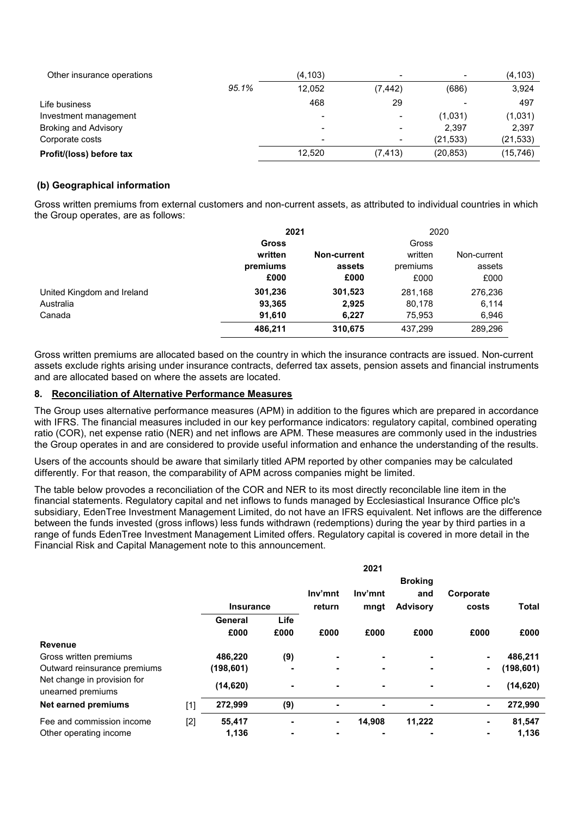| Other insurance operations  |       | (4, 103)                 |                          | $\overline{\phantom{a}}$ | (4, 103)  |
|-----------------------------|-------|--------------------------|--------------------------|--------------------------|-----------|
|                             | 95.1% | 12.052                   | (7, 442)                 | (686)                    | 3,924     |
| Life business               |       | 468                      | 29                       |                          | 497       |
| Investment management       |       | $\overline{\phantom{a}}$ |                          | (1,031)                  | (1,031)   |
| <b>Broking and Advisory</b> |       | $\blacksquare$           | $\overline{\phantom{0}}$ | 2.397                    | 2,397     |
| Corporate costs             |       | $\overline{\phantom{a}}$ |                          | (21, 533)                | (21, 533) |
| Profit/(loss) before tax    |       | 12.520                   | (7, 413)                 | (20, 853)                | (15,746)  |

## **(b) Geographical information**

Gross written premiums from external customers and non-current assets, as attributed to individual countries in which the Group operates, are as follows:

|                            | 2021         |             | 2020     |             |
|----------------------------|--------------|-------------|----------|-------------|
|                            | <b>Gross</b> |             | Gross    |             |
|                            | written      | Non-current | written  | Non-current |
|                            | premiums     | assets      | premiums | assets      |
|                            | £000         | £000        | £000     | £000        |
| United Kingdom and Ireland | 301,236      | 301,523     | 281,168  | 276,236     |
| Australia                  | 93,365       | 2,925       | 80,178   | 6,114       |
| Canada                     | 91,610       | 6,227       | 75,953   | 6,946       |
|                            | 486,211      | 310,675     | 437,299  | 289,296     |

Gross written premiums are allocated based on the country in which the insurance contracts are issued. Non-current assets exclude rights arising under insurance contracts, deferred tax assets, pension assets and financial instruments and are allocated based on where the assets are located.

## **8. Reconciliation of Alternative Performance Measures**

The Group uses alternative performance measures (APM) in addition to the figures which are prepared in accordance with IFRS. The financial measures included in our key performance indicators: regulatory capital, combined operating ratio (COR), net expense ratio (NER) and net inflows are APM. These measures are commonly used in the industries the Group operates in and are considered to provide useful information and enhance the understanding of the results.

Users of the accounts should be aware that similarly titled APM reported by other companies may be calculated differently. For that reason, the comparability of APM across companies might be limited.

The table below provodes a reconciliation of the COR and NER to its most directly reconcilable line item in the financial statements. Regulatory capital and net inflows to funds managed by Ecclesiastical Insurance Office plc's subsidiary, EdenTree Investment Management Limited, do not have an IFRS equivalent. Net inflows are the difference between the funds invested (gross inflows) less funds withdrawn (redemptions) during the year by third parties in a range of funds EdenTree Investment Management Limited offers. Regulatory capital is covered in more detail in the Financial Risk and Capital Management note to this announcement.

|                                                  |       |                  |                          |                | 2021    |                 |           |              |
|--------------------------------------------------|-------|------------------|--------------------------|----------------|---------|-----------------|-----------|--------------|
|                                                  |       |                  |                          |                |         | <b>Broking</b>  |           |              |
|                                                  |       |                  |                          | Inv'mnt        | Inv'mnt | and             | Corporate |              |
|                                                  |       | <b>Insurance</b> |                          | return         | mngt    | <b>Advisory</b> | costs     | <b>Total</b> |
|                                                  |       | General          | Life                     |                |         |                 |           |              |
|                                                  |       | £000             | £000                     | £000           | £000    | £000            | £000      | £000         |
| <b>Revenue</b>                                   |       |                  |                          |                |         |                 |           |              |
| Gross written premiums                           |       | 486,220          | (9)                      | $\blacksquare$ | ۰       |                 | ۰         | 486,211      |
| Outward reinsurance premiums                     |       | (198,601)        | $\blacksquare$           | ٠              | ۰       | $\blacksquare$  | ۰.        | (198, 601)   |
| Net change in provision for<br>unearned premiums |       | (14, 620)        | $\blacksquare$           | ۰              | ۰       |                 | ۰.        | (14, 620)    |
| <b>Net earned premiums</b>                       | $[1]$ | 272,999          | (9)                      |                | ۰       |                 | ۰.        | 272,990      |
| Fee and commission income                        | $[2]$ | 55,417           | $\blacksquare$           | ٠              | 14,908  | 11,222          | ۰         | 81,547       |
| Other operating income                           |       | 1,136            | $\overline{\phantom{0}}$ |                | -       |                 | ٠         | 1,136        |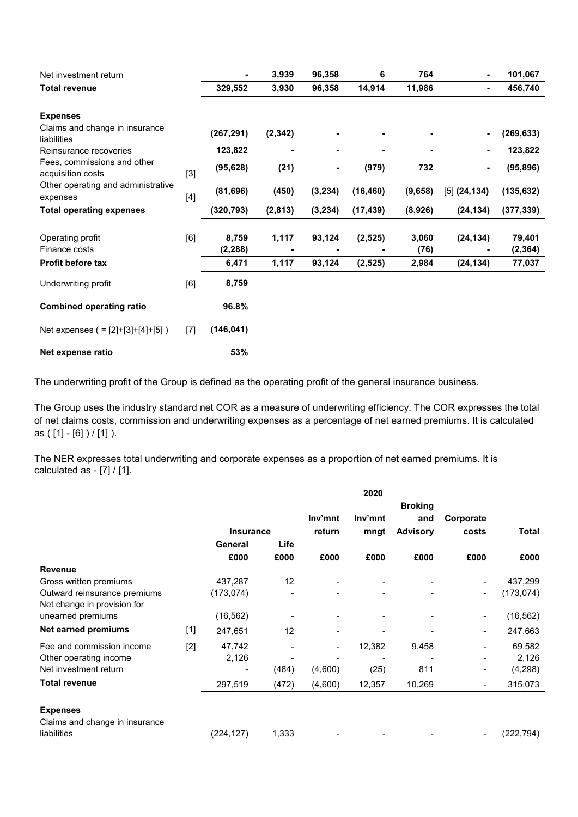| Net investment return                            |       | ٠                 | 3,939    | 96,358   | 6         | 764           |                | 101,067            |
|--------------------------------------------------|-------|-------------------|----------|----------|-----------|---------------|----------------|--------------------|
| <b>Total revenue</b>                             |       | 329,552           | 3,930    | 96,358   | 14,914    | 11,986        | ۰              | 456,740            |
| <b>Expenses</b>                                  |       |                   |          |          |           |               |                |                    |
| Claims and change in insurance<br>liabilities    |       | (267, 291)        | (2, 342) |          |           |               |                | (269, 633)         |
| Reinsurance recoveries                           |       | 123,822           |          |          |           |               | ٠              | 123,822            |
| Fees, commissions and other<br>acquisition costs | $[3]$ | (95, 628)         | (21)     |          | (979)     | 732           | ۰              | (95, 896)          |
| Other operating and administrative<br>expenses   | $[4]$ | (81, 696)         | (450)    | (3, 234) | (16, 460) | (9,658)       | $[5]$ (24,134) | (135, 632)         |
| <b>Total operating expenses</b>                  |       | (320, 793)        | (2, 813) | (3,234)  | (17, 439) | (8,926)       | (24, 134)      | (377, 339)         |
| Operating profit<br>Finance costs                | [6]   | 8,759<br>(2, 288) | 1,117    | 93,124   | (2, 525)  | 3,060<br>(76) | (24, 134)      | 79,401<br>(2, 364) |
| <b>Profit before tax</b>                         |       | 6,471             | 1,117    | 93,124   | (2, 525)  | 2,984         | (24, 134)      | 77,037             |
| Underwriting profit                              | [6]   | 8,759             |          |          |           |               |                |                    |
| <b>Combined operating ratio</b>                  |       | 96.8%             |          |          |           |               |                |                    |
| Net expenses $( = [2]+[3]+[4]+[5] )$             | $[7]$ | (146, 041)        |          |          |           |               |                |                    |
| Net expense ratio                                |       | 53%               |          |          |           |               |                |                    |

The underwriting profit of the Group is defined as the operating profit of the general insurance business.

The Group uses the industry standard net COR as a measure of underwriting efficiency. The COR expresses the total of net claims costs, commission and underwriting expenses as a percentage of net earned premiums. It is calculated as ( [1] - [6] ) / [1] ).

The NER expresses total underwriting and corporate expenses as a proportion of net earned premiums. It is calculated as  $-$  [7]  $/$  [1].

|                                                   |       |                  |                |                          | 2020    |                 |                |              |
|---------------------------------------------------|-------|------------------|----------------|--------------------------|---------|-----------------|----------------|--------------|
|                                                   |       |                  |                |                          |         | <b>Broking</b>  |                |              |
|                                                   |       |                  |                | Inv'mnt                  | Inv'mnt | and             | Corporate      |              |
|                                                   |       | <b>Insurance</b> |                | return                   | mngt    | <b>Advisory</b> | costs          | <b>Total</b> |
|                                                   |       | General          | Life           |                          |         |                 |                |              |
|                                                   |       | £000             | £000           | £000                     | £000    | £000            | £000           | £000         |
| <b>Revenue</b>                                    |       |                  |                |                          |         |                 |                |              |
| Gross written premiums                            |       | 437,287          | 12             |                          |         |                 |                | 437,299      |
| Outward reinsurance premiums                      |       | (173, 074)       |                |                          |         |                 |                | (173, 074)   |
| Net change in provision for                       |       |                  |                |                          |         |                 |                |              |
| unearned premiums                                 |       | (16, 562)        | -              |                          |         |                 | $\blacksquare$ | (16, 562)    |
| Net earned premiums                               | $[1]$ | 247,651          | 12             |                          |         |                 |                | 247,663      |
| Fee and commission income                         | $[2]$ | 47,742           | $\overline{a}$ | $\overline{\phantom{a}}$ | 12,382  | 9,458           |                | 69,582       |
| Other operating income                            |       | 2,126            |                |                          |         |                 |                | 2,126        |
| Net investment return                             |       | $\blacksquare$   | (484)          | (4,600)                  | (25)    | 811             | $\blacksquare$ | (4, 298)     |
| <b>Total revenue</b>                              |       | 297,519          | (472)          | (4,600)                  | 12,357  | 10,269          | $\blacksquare$ | 315,073      |
| <b>Expenses</b><br>Claims and change in insurance |       |                  |                |                          |         |                 |                |              |
| liabilities                                       |       | (224,127)        | 1,333          |                          |         |                 |                | (222, 794)   |